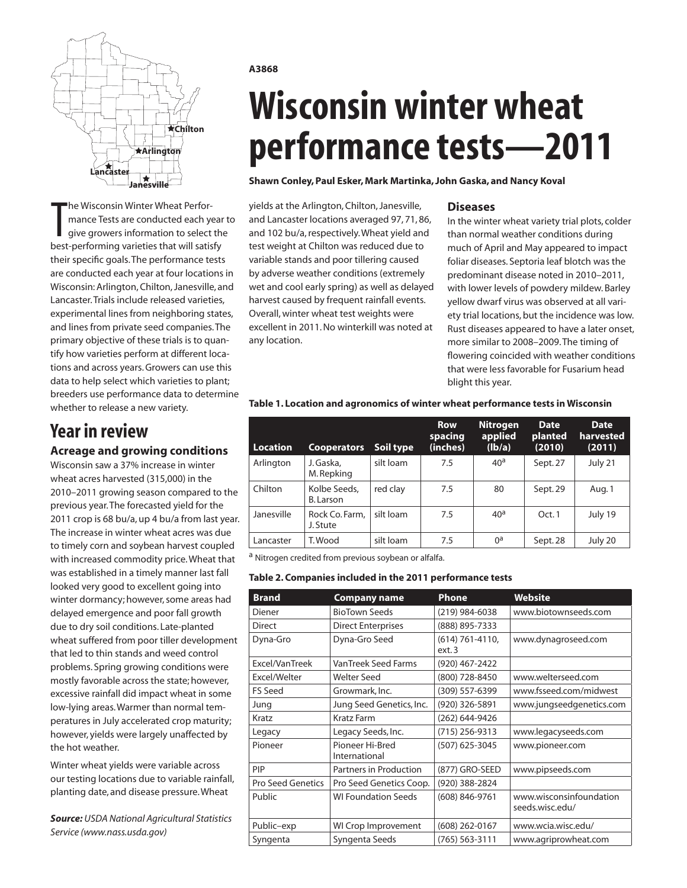

The Wisconsin Winter Wheat Perfor-<br>
mance Tests are conducted each year<br>
give growers information to select the<br>
best-performing varieties that will satisfy he Wisconsin Winter Wheat Performance Tests are conducted each year to give growers information to select the their specific goals. The performance tests are conducted each year at four locations in Wisconsin: Arlington, Chilton, Janesville, and Lancaster. Trials include released varieties, experimental lines from neighboring states, and lines from private seed companies. The primary objective of these trials is to quantify how varieties perform at different locations and across years. Growers can use this data to help select which varieties to plant; breeders use performance data to determine whether to release a new variety.

### **Year in review**

### **Acreage and growing conditions**

Wisconsin saw a 37% increase in winter wheat acres harvested (315,000) in the 2010–2011 growing season compared to the previous year. The forecasted yield for the 2011 crop is 68 bu/a, up 4 bu/a from last year. The increase in winter wheat acres was due to timely corn and soybean harvest coupled with increased commodity price. Wheat that was established in a timely manner last fall looked very good to excellent going into winter dormancy; however, some areas had delayed emergence and poor fall growth due to dry soil conditions. Late-planted wheat suffered from poor tiller development that led to thin stands and weed control problems. Spring growing conditions were mostly favorable across the state; however, excessive rainfall did impact wheat in some low-lying areas. Warmer than normal temperatures in July accelerated crop maturity; however, yields were largely unaffected by the hot weather.

Winter wheat yields were variable across our testing locations due to variable rainfall, planting date, and disease pressure. Wheat

*Source: USDA National Agricultural Statistics Service (www.nass.usda.gov)*

**A3868**

# **Wisconsin winter wheat performance tests—2011**

#### **Shawn Conley, Paul Esker, Mark Martinka, John Gaska, and Nancy Koval**

yields at the Arlington, Chilton, Janesville, and Lancaster locations averaged 97, 71, 86, and 102 bu/a, respectively. Wheat yield and test weight at Chilton was reduced due to variable stands and poor tillering caused by adverse weather conditions (extremely wet and cool early spring) as well as delayed harvest caused by frequent rainfall events. Overall, winter wheat test weights were excellent in 2011. No winterkill was noted at any location.

#### **Diseases**

In the winter wheat variety trial plots, colder than normal weather conditions during much of April and May appeared to impact foliar diseases. Septoria leaf blotch was the predominant disease noted in 2010–2011, with lower levels of powdery mildew. Barley yellow dwarf virus was observed at all variety trial locations, but the incidence was low. Rust diseases appeared to have a later onset, more similar to 2008–2009. The timing of flowering coincided with weather conditions that were less favorable for Fusarium head blight this year.

| Location   | <b>Cooperators</b>         | Soil type | <b>Row</b><br>spacing<br>(inches) | Nitrogen<br>applied<br>(Ib/a) | <b>Date</b><br>planted<br>(2010) | <b>Date</b><br>harvested<br>(2011) |
|------------|----------------------------|-----------|-----------------------------------|-------------------------------|----------------------------------|------------------------------------|
| Arlington  | J. Gaska,<br>M. Repking    | silt loam | 7.5                               | 40 <sup>a</sup>               | Sept. 27                         | July 21                            |
| Chilton    | Kolbe Seeds,<br>B. Larson  | red clay  | 7.5                               | 80                            | Sept. 29                         | Aug. 1                             |
| Janesville | Rock Co. Farm,<br>J. Stute | silt loam | 7.5                               | 40 <sup>a</sup>               | Oct.1                            | July 19                            |
| Lancaster  | T. Wood                    | silt loam | 7.5                               | $0^a$                         | Sept. 28                         | July 20                            |

#### **Table 1. Location and agronomics of winter wheat performance tests in Wisconsin**

a Nitrogen credited from previous soybean or alfalfa.

#### **Table 2. Companies included in the 2011 performance tests**

| <b>Brand</b>             | <b>Company name</b>              | <b>Phone</b>                 | Website                                    |
|--------------------------|----------------------------------|------------------------------|--------------------------------------------|
| Diener                   | <b>BioTown Seeds</b>             | (219) 984-6038               | www.biotownseeds.com                       |
| <b>Direct</b>            | <b>Direct Enterprises</b>        | (888) 895-7333               |                                            |
| Dyna-Gro                 | Dyna-Gro Seed                    | $(614) 761 - 4110,$<br>ext.3 | www.dynagroseed.com                        |
| Excel/VanTreek           | <b>VanTreek Seed Farms</b>       | (920) 467-2422               |                                            |
| Excel/Welter             | <b>Welter Seed</b>               | (800) 728-8450               | www.welterseed.com                         |
| <b>FS Seed</b>           | Growmark, Inc.                   | (309) 557-6399               | www.fsseed.com/midwest                     |
| Jung                     | Jung Seed Genetics, Inc.         | (920) 326-5891               | www.jungseedgenetics.com                   |
| Kratz                    | <b>Kratz Farm</b>                | (262) 644-9426               |                                            |
| Legacy                   | Legacy Seeds, Inc.               | $(715)$ 256-9313             | www.legacyseeds.com                        |
| Pioneer                  | Pioneer Hi-Bred<br>International | (507) 625-3045               | www.pioneer.com                            |
| PIP                      | Partners in Production           | (877) GRO-SEED               | www.pipseeds.com                           |
| <b>Pro Seed Genetics</b> | Pro Seed Genetics Coop.          | (920) 388-2824               |                                            |
| Public                   | <b>WI Foundation Seeds</b>       | (608) 846-9761               | www.wisconsinfoundation<br>seeds.wisc.edu/ |
| Public-exp               | WI Crop Improvement              | (608) 262-0167               | www.wcia.wisc.edu/                         |
| Syngenta                 | Syngenta Seeds                   | $(765) 563 - 3111$           | www.agriprowheat.com                       |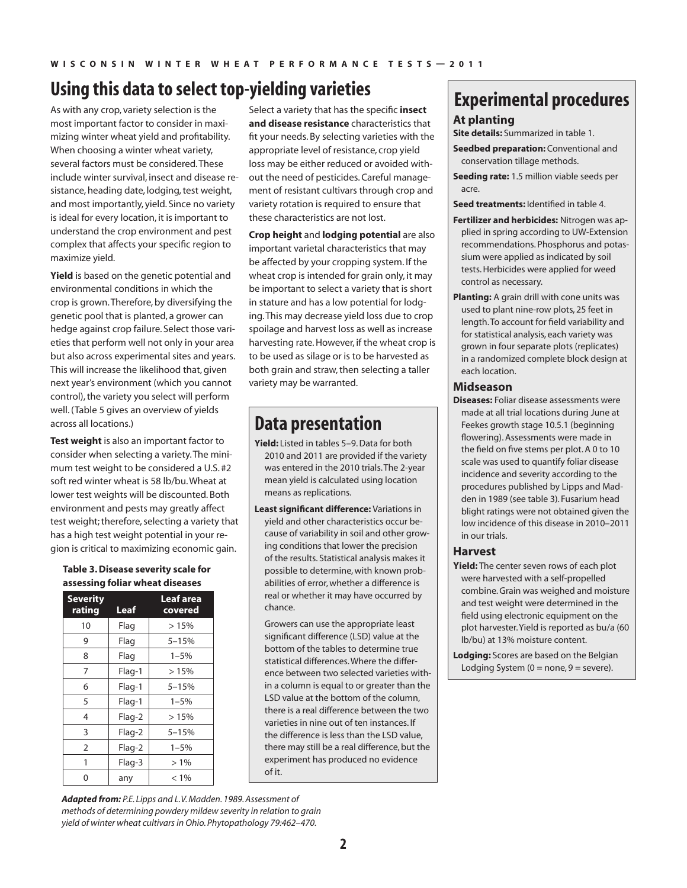# **Using this data to select top-yielding varieties**

As with any crop, variety selection is the most important factor to consider in maximizing winter wheat yield and profitability. When choosing a winter wheat variety, several factors must be considered. These include winter survival, insect and disease resistance, heading date, lodging, test weight, and most importantly, yield. Since no variety is ideal for every location, it is important to understand the crop environment and pest complex that affects your specific region to maximize yield.

**Yield** is based on the genetic potential and environmental conditions in which the crop is grown. Therefore, by diversifying the genetic pool that is planted, a grower can hedge against crop failure. Select those varieties that perform well not only in your area but also across experimental sites and years. This will increase the likelihood that, given next year's environment (which you cannot control), the variety you select will perform well. (Table 5 gives an overview of yields across all locations.)

**Test weight** is also an important factor to consider when selecting a variety. The minimum test weight to be considered a U.S. #2 soft red winter wheat is 58 lb/bu. Wheat at lower test weights will be discounted. Both environment and pests may greatly affect test weight; therefore, selecting a variety that has a high test weight potential in your region is critical to maximizing economic gain.

### **Table 3. Disease severity scale for assessing foliar wheat diseases**

| <b>Severity</b><br>rating | Leaf     | Leaf area<br>covered |
|---------------------------|----------|----------------------|
| 10                        | Flag     | >15%                 |
| 9                         | Flag     | $5 - 15%$            |
| 8                         | Flag     | $1 - 5%$             |
| 7                         | Flag-1   | >15%                 |
| 6                         | Flag-1   | $5 - 15%$            |
| 5                         | Flag-1   | $1 - 5%$             |
| 4                         | Flag-2   | >15%                 |
| 3                         | Flag-2   | 5-15%                |
| 2                         | Flag-2   | $1 - 5%$             |
| 1                         | $Flag-3$ | $>1\%$               |
|                           | any      | $< 1\%$              |

Select a variety that has the specific **insect and disease resistance** characteristics that fit your needs. By selecting varieties with the appropriate level of resistance, crop yield loss may be either reduced or avoided without the need of pesticides. Careful management of resistant cultivars through crop and variety rotation is required to ensure that these characteristics are not lost.

**Crop height** and **lodging potential** are also important varietal characteristics that may be affected by your cropping system. If the wheat crop is intended for grain only, it may be important to select a variety that is short in stature and has a low potential for lodging. This may decrease yield loss due to crop spoilage and harvest loss as well as increase harvesting rate. However, if the wheat crop is to be used as silage or is to be harvested as both grain and straw, then selecting a taller variety may be warranted.

### **Data presentation**

- **Yield:** Listed in tables 5–9. Data for both 2010 and 2011 are provided if the variety was entered in the 2010 trials. The 2-year mean yield is calculated using location means as replications.
- **Least significant difference:** Variations in yield and other characteristics occur because of variability in soil and other growing conditions that lower the precision of the results. Statistical analysis makes it possible to determine, with known probabilities of error, whether a difference is real or whether it may have occurred by chance.

Growers can use the appropriate least significant difference (LSD) value at the bottom of the tables to determine true statistical differences. Where the difference between two selected varieties within a column is equal to or greater than the LSD value at the bottom of the column, there is a real difference between the two varieties in nine out of ten instances. If the difference is less than the LSD value, there may still be a real difference, but the experiment has produced no evidence of it.

### **Experimental procedures**

#### **At planting**

**Site details:** Summarized in table 1.

- **Seedbed preparation: Conventional and** conservation tillage methods.
- **Seeding rate:** 1.5 million viable seeds per acre.

**Seed treatments:** Identified in table 4.

- **Fertilizer and herbicides:** Nitrogen was applied in spring according to UW-Extension recommendations. Phosphorus and potassium were applied as indicated by soil tests. Herbicides were applied for weed control as necessary.
- **Planting:** A grain drill with cone units was used to plant nine-row plots, 25 feet in length. To account for field variability and for statistical analysis, each variety was grown in four separate plots (replicates) in a randomized complete block design at each location.

#### **Midseason**

**Diseases:** Foliar disease assessments were made at all trial locations during June at Feekes growth stage 10.5.1 (beginning flowering). Assessments were made in the field on five stems per plot. A 0 to 10 scale was used to quantify foliar disease incidence and severity according to the procedures published by Lipps and Madden in 1989 (see table 3). Fusarium head blight ratings were not obtained given the low incidence of this disease in 2010–2011 in our trials.

#### **Harvest**

- **Yield:** The center seven rows of each plot were harvested with a self-propelled combine. Grain was weighed and moisture and test weight were determined in the field using electronic equipment on the plot harvester. Yield is reported as bu/a (60 lb/bu) at 13% moisture content.
- **Lodging:** Scores are based on the Belgian Lodging System ( $0 =$  none,  $9 =$  severe).

*Adapted from: P.E. Lipps and L.V. Madden. 1989. Assessment of methods of determining powdery mildew severity in relation to grain yield of winter wheat cultivars in Ohio. Phytopathology 79:462–470.*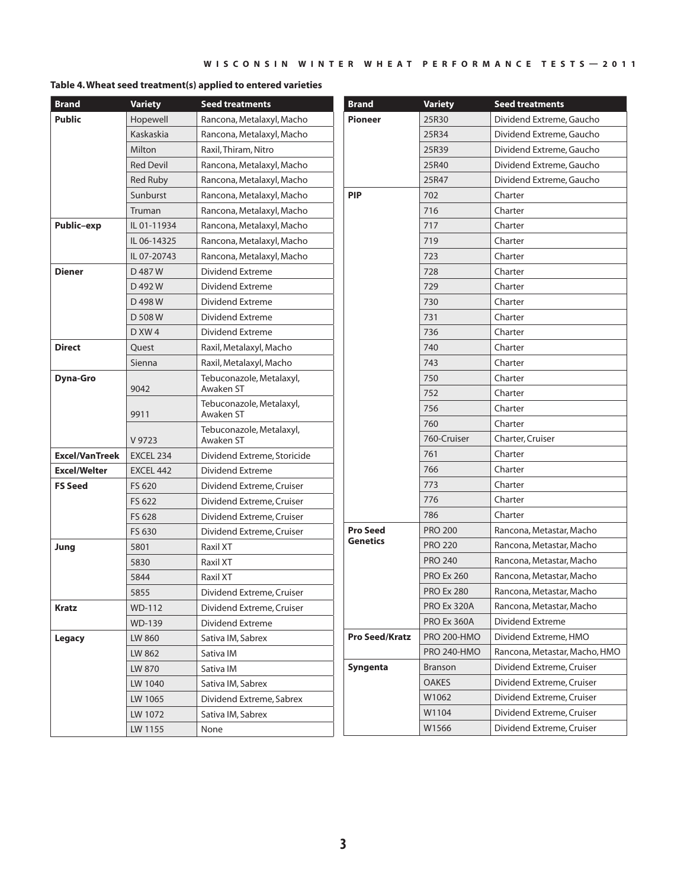#### **Table 4. Wheat seed treatment(s) applied to entered varieties**

| <b>Brand</b>          | <b>Variety</b>   | <b>Seed treatments</b>                | <b>Brand</b>          | <b>Variety</b>     | <b>Seed treatments</b>        |
|-----------------------|------------------|---------------------------------------|-----------------------|--------------------|-------------------------------|
| <b>Public</b>         | Hopewell         | Rancona, Metalaxyl, Macho             | <b>Pioneer</b>        | 25R30              | Dividend Extreme, Gaucho      |
|                       | Kaskaskia        | Rancona, Metalaxyl, Macho             |                       | 25R34              | Dividend Extreme, Gaucho      |
|                       | Milton           | Raxil, Thiram, Nitro                  |                       | 25R39              | Dividend Extreme, Gaucho      |
|                       | <b>Red Devil</b> | Rancona, Metalaxyl, Macho             |                       | 25R40              | Dividend Extreme, Gaucho      |
|                       | <b>Red Ruby</b>  | Rancona, Metalaxyl, Macho             |                       | 25R47              | Dividend Extreme, Gaucho      |
|                       | Sunburst         | Rancona, Metalaxyl, Macho             | <b>PIP</b>            | 702                | Charter                       |
|                       | Truman           | Rancona, Metalaxyl, Macho             |                       | 716                | Charter                       |
| Public-exp            | IL 01-11934      | Rancona, Metalaxyl, Macho             |                       | 717                | Charter                       |
|                       | IL 06-14325      | Rancona, Metalaxyl, Macho             |                       | 719                | Charter                       |
|                       | IL 07-20743      | Rancona, Metalaxyl, Macho             |                       | 723                | Charter                       |
| <b>Diener</b>         | D 487 W          | Dividend Extreme                      |                       | 728                | Charter                       |
|                       | D 492 W          | Dividend Extreme                      |                       | 729                | Charter                       |
|                       | D 498 W          | Dividend Extreme                      |                       | 730                | Charter                       |
|                       | D 508 W          | Dividend Extreme                      |                       | 731                | Charter                       |
|                       | DXW4             | Dividend Extreme                      |                       | 736                | Charter                       |
| <b>Direct</b>         | Quest            | Raxil, Metalaxyl, Macho               |                       | 740                | Charter                       |
|                       | Sienna           | Raxil, Metalaxyl, Macho               |                       | 743                | Charter                       |
| Dyna-Gro              |                  | Tebuconazole, Metalaxyl,              |                       | 750                | Charter                       |
| 9911                  | 9042             | Awaken ST                             |                       | 752                | Charter                       |
|                       |                  | Tebuconazole, Metalaxyl,<br>Awaken ST |                       | 756                | Charter                       |
|                       |                  | Tebuconazole, Metalaxyl,              |                       | 760                | Charter                       |
|                       | V 9723           | Awaken ST                             |                       | 760-Cruiser        | Charter, Cruiser              |
| <b>Excel/VanTreek</b> | EXCEL 234        | Dividend Extreme, Storicide           |                       | 761                | Charter                       |
| <b>Excel/Welter</b>   | EXCEL 442        | Dividend Extreme                      |                       | 766                | Charter                       |
| <b>FS Seed</b>        | FS 620           | Dividend Extreme, Cruiser             |                       | 773                | Charter                       |
|                       | FS 622           | Dividend Extreme, Cruiser             |                       | 776                | Charter                       |
|                       | FS 628           | Dividend Extreme, Cruiser             |                       | 786                | Charter                       |
|                       | FS 630           | Dividend Extreme, Cruiser             | <b>Pro Seed</b>       | <b>PRO 200</b>     | Rancona, Metastar, Macho      |
| Jung                  | 5801             | Raxil XT                              | <b>Genetics</b>       | <b>PRO 220</b>     | Rancona, Metastar, Macho      |
|                       | 5830             | Raxil XT                              |                       | <b>PRO 240</b>     | Rancona, Metastar, Macho      |
|                       | 5844             | Raxil XT                              |                       | <b>PRO Ex 260</b>  | Rancona, Metastar, Macho      |
|                       | 5855             | Dividend Extreme, Cruiser             |                       | <b>PRO Ex 280</b>  | Rancona, Metastar, Macho      |
| <b>Kratz</b>          | WD-112           | Dividend Extreme, Cruiser             |                       | PRO Ex 320A        | Rancona, Metastar, Macho      |
|                       | WD-139           | Dividend Extreme                      |                       | PRO Ex 360A        | Dividend Extreme              |
| Legacy                | LW 860           | Sativa IM, Sabrex                     | <b>Pro Seed/Kratz</b> | <b>PRO 200-HMO</b> | Dividend Extreme, HMO         |
|                       | LW 862           | Sativa IM                             |                       | <b>PRO 240-HMO</b> | Rancona, Metastar, Macho, HMO |
|                       | LW 870           | Sativa IM                             | Syngenta              | Branson            | Dividend Extreme, Cruiser     |
|                       | LW 1040          | Sativa IM, Sabrex                     |                       | <b>OAKES</b>       | Dividend Extreme, Cruiser     |
|                       | LW 1065          | Dividend Extreme, Sabrex              |                       | W1062              | Dividend Extreme, Cruiser     |
|                       | LW 1072          | Sativa IM, Sabrex                     |                       | W1104              | Dividend Extreme, Cruiser     |
|                       | LW 1155          | None                                  |                       | W1566              | Dividend Extreme, Cruiser     |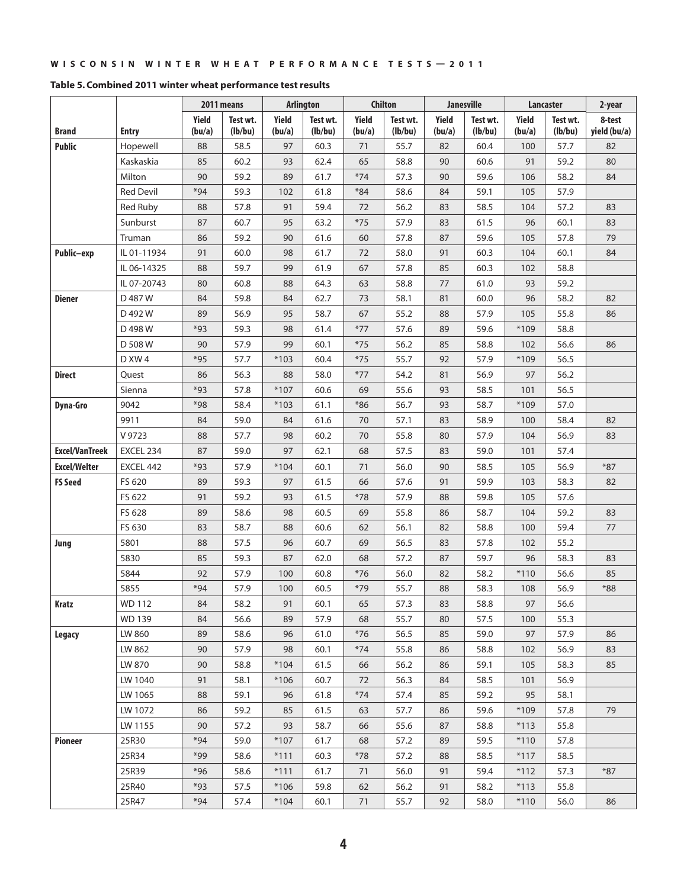|                       |                  |                 | 2011 means          |                 | <b>Arlington</b>    |                 | <b>Chilton</b>      |                 | <b>Janesville</b>   |                 | Lancaster           | 2-year                 |
|-----------------------|------------------|-----------------|---------------------|-----------------|---------------------|-----------------|---------------------|-----------------|---------------------|-----------------|---------------------|------------------------|
| Brand                 | <b>Entry</b>     | Yield<br>(bu/a) | Test wt.<br>(lb/bu) | Yield<br>(bu/a) | Test wt.<br>(lb/bu) | Yield<br>(bu/a) | Test wt.<br>(lb/bu) | Yield<br>(bu/a) | Test wt.<br>(lb/bu) | Yield<br>(bu/a) | Test wt.<br>(lb/bu) | 8-test<br>yield (bu/a) |
| <b>Public</b>         | Hopewell         | 88              | 58.5                | 97              | 60.3                | 71              | 55.7                | 82              | 60.4                | 100             | 57.7                | 82                     |
|                       | Kaskaskia        | 85              | 60.2                | 93              | 62.4                | 65              | 58.8                | 90              | 60.6                | 91              | 59.2                | 80                     |
|                       | Milton           | 90              | 59.2                | 89              | 61.7                | $*74$           | 57.3                | 90              | 59.6                | 106             | 58.2                | 84                     |
|                       | <b>Red Devil</b> | $*94$           | 59.3                | 102             | 61.8                | $*84$           | 58.6                | 84              | 59.1                | 105             | 57.9                |                        |
|                       | <b>Red Ruby</b>  | 88              | 57.8                | 91              | 59.4                | 72              | 56.2                | 83              | 58.5                | 104             | 57.2                | 83                     |
|                       | Sunburst         | 87              | 60.7                | 95              | 63.2                | $*75$           | 57.9                | 83              | 61.5                | 96              | 60.1                | 83                     |
|                       | Truman           | 86              | 59.2                | 90              | 61.6                | 60              | 57.8                | 87              | 59.6                | 105             | 57.8                | 79                     |
| Public-exp            | IL 01-11934      | 91              | 60.0                | 98              | 61.7                | 72              | 58.0                | 91              | 60.3                | 104             | 60.1                | 84                     |
|                       | IL 06-14325      | 88              | 59.7                | 99              | 61.9                | 67              | 57.8                | 85              | 60.3                | 102             | 58.8                |                        |
|                       | IL 07-20743      | 80              | 60.8                | 88              | 64.3                | 63              | 58.8                | 77              | 61.0                | 93              | 59.2                |                        |
| <b>Diener</b>         | D 487 W          | 84              | 59.8                | 84              | 62.7                | 73              | 58.1                | 81              | 60.0                | 96              | 58.2                | 82                     |
|                       | D 492 W          | 89              | 56.9                | 95              | 58.7                | 67              | 55.2                | 88              | 57.9                | 105             | 55.8                | 86                     |
|                       | D 498 W          | *93             | 59.3                | 98              | 61.4                | $*77$           | 57.6                | 89              | 59.6                | *109            | 58.8                |                        |
|                       | D 508 W          | 90              | 57.9                | 99              | 60.1                | $*75$           | 56.2                | 85              | 58.8                | 102             | 56.6                | 86                     |
|                       | D XW 4           | $*95$           | 57.7                | $*103$          | 60.4                | $*75$           | 55.7                | 92              | 57.9                | *109            | 56.5                |                        |
| <b>Direct</b>         | Quest            | 86              | 56.3                | 88              | 58.0                | $*77$           | 54.2                | 81              | 56.9                | 97              | 56.2                |                        |
|                       | Sienna           | $*93$           | 57.8                | $*107$          | 60.6                | 69              | 55.6                | 93              | 58.5                | 101             | 56.5                |                        |
| Dyna-Gro              | 9042             | *98             | 58.4                | $*103$          | 61.1                | $*86$           | 56.7                | 93              | 58.7                | *109            | 57.0                |                        |
|                       | 9911             | 84              | 59.0                | 84              | 61.6                | 70              | 57.1                | 83              | 58.9                | 100             | 58.4                | 82                     |
|                       | V 9723           | 88              | 57.7                | 98              | 60.2                | 70              | 55.8                | 80              | 57.9                | 104             | 56.9                | 83                     |
| <b>Excel/VanTreek</b> | EXCEL 234        | 87              | 59.0                | 97              | 62.1                | 68              | 57.5                | 83              | 59.0                | 101             | 57.4                |                        |
| <b>Excel/Welter</b>   | EXCEL 442        | *93             | 57.9                | $*104$          | 60.1                | 71              | 56.0                | 90              | 58.5                | 105             | 56.9                | $*87$                  |
| <b>FS Seed</b>        | FS 620           | 89              | 59.3                | 97              | 61.5                | 66              | 57.6                | 91              | 59.9                | 103             | 58.3                | 82                     |
|                       | FS 622           | 91              | 59.2                | 93              | 61.5                | $*78$           | 57.9                | 88              | 59.8                | 105             | 57.6                |                        |
|                       | FS 628           | 89              | 58.6                | 98              | 60.5                | 69              | 55.8                | 86              | 58.7                | 104             | 59.2                | 83                     |
|                       | FS 630           | 83              | 58.7                | 88              | 60.6                | 62              | 56.1                | 82              | 58.8                | 100             | 59.4                | 77                     |
| Jung                  | 5801             | 88              | 57.5                | 96              | 60.7                | 69              | 56.5                | 83              | 57.8                | 102             | 55.2                |                        |
|                       | 5830             | 85              | 59.3                | 87              | 62.0                | 68              | 57.2                | 87              | 59.7                | 96              | 58.3                | 83                     |
|                       | 5844             | 92              | 57.9                | 100             | 60.8                | $*76$           | 56.0                | 82              | 58.2                | $*110$          | 56.6                | 85                     |
|                       | 5855             | $*94$           | 57.9                | 100             | 60.5                | $*79$           | 55.7                | 88              | 58.3                | 108             | 56.9                | *88                    |
| Kratz                 | <b>WD 112</b>    | 84              | 58.2                | 91              | 60.1                | 65              | 57.3                | 83              | 58.8                | 97              | 56.6                |                        |
|                       | <b>WD 139</b>    | 84              | 56.6                | 89              | 57.9                | 68              | 55.7                | 80              | 57.5                | 100             | 55.3                |                        |
| <b>Legacy</b>         | LW 860           | 89              | 58.6                | 96              | 61.0                | $*76$           | 56.5                | 85              | 59.0                | 97              | 57.9                | 86                     |
|                       | LW 862           | 90              | 57.9                | 98              | 60.1                | $*74$           | 55.8                | 86              | 58.8                | 102             | 56.9                | 83                     |
|                       | LW 870           | 90              | 58.8                | $*104$          | 61.5                | 66              | 56.2                | 86              | 59.1                | 105             | 58.3                | 85                     |
|                       | LW 1040          | 91              | 58.1                | $*106$          | 60.7                | 72              | 56.3                | 84              | 58.5                | 101             | 56.9                |                        |
|                       | LW 1065          | 88              | 59.1                | 96              | 61.8                | $*74$           | 57.4                | 85              | 59.2                | 95              | 58.1                |                        |
|                       | LW 1072          | 86              | 59.2                | 85              | 61.5                | 63              | 57.7                | 86              | 59.6                | *109            | 57.8                | 79                     |
|                       | LW 1155          | 90              | 57.2                | 93              | 58.7                | 66              | 55.6                | 87              | 58.8                | $*113$          | 55.8                |                        |
| Pioneer               | 25R30            | $*94$           | 59.0                | *107            | 61.7                | 68              | 57.2                | 89              | 59.5                | $*110$          | 57.8                |                        |
|                       | 25R34            | *99             | 58.6                | $*111$          | 60.3                | $*78$           | 57.2                | 88              | 58.5                | $*117$          | 58.5                |                        |
|                       | 25R39            | $*96$           | 58.6                | $*111$          | 61.7                | 71              | 56.0                | 91              | 59.4                | $*112$          | 57.3                | $*87$                  |
|                       | 25R40            | $*93$           | 57.5                | $*106$          | 59.8                | 62              | 56.2                | 91              | 58.2                | $*113$          | 55.8                |                        |
|                       | 25R47            | $*94$           | 57.4                | $*104$          | 60.1                | 71              | 55.7                | 92              | 58.0                | $*110$          | 56.0                | 86                     |

#### **Table 5. Combined 2011 winter wheat performance test results**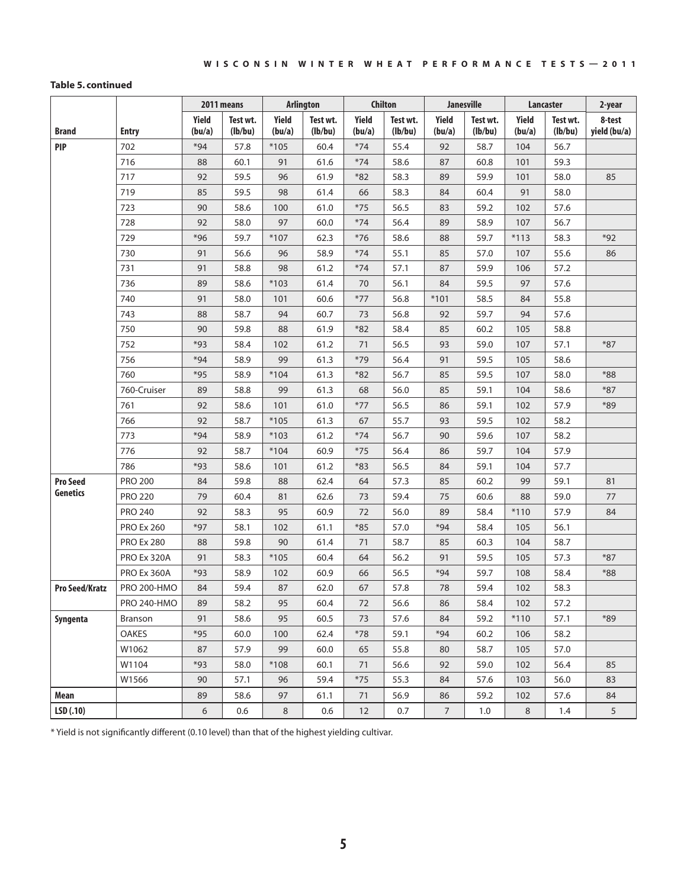#### **Table 5. continued**

|                       |                    |                 | 2011 means          |                 | <b>Arlington</b>    |                 | <b>Chilton</b>      |                 | <b>Janesville</b>   |                 | <b>Lancaster</b>    | 2-year                 |
|-----------------------|--------------------|-----------------|---------------------|-----------------|---------------------|-----------------|---------------------|-----------------|---------------------|-----------------|---------------------|------------------------|
| <b>Brand</b>          | <b>Entry</b>       | Yield<br>(bu/a) | Test wt.<br>(lb/bu) | Yield<br>(bu/a) | Test wt.<br>(lb/bu) | Yield<br>(bu/a) | Test wt.<br>(lb/bu) | Yield<br>(bu/a) | Test wt.<br>(lb/bu) | Yield<br>(bu/a) | Test wt.<br>(lb/bu) | 8-test<br>yield (bu/a) |
| <b>PIP</b>            | 702                | $*94$           | 57.8                | $*105$          | 60.4                | $*74$           | 55.4                | 92              | 58.7                | 104             | 56.7                |                        |
|                       | 716                | 88              | 60.1                | 91              | 61.6                | $*74$           | 58.6                | 87              | 60.8                | 101             | 59.3                |                        |
|                       | 717                | 92              | 59.5                | 96              | 61.9                | $*82$           | 58.3                | 89              | 59.9                | 101             | 58.0                | 85                     |
|                       | 719                | 85              | 59.5                | 98              | 61.4                | 66              | 58.3                | 84              | 60.4                | 91              | 58.0                |                        |
|                       | 723                | 90              | 58.6                | 100             | 61.0                | $*75$           | 56.5                | 83              | 59.2                | 102             | 57.6                |                        |
|                       | 728                | 92              | 58.0                | 97              | 60.0                | $*74$           | 56.4                | 89              | 58.9                | 107             | 56.7                |                        |
|                       | 729                | $*96$           | 59.7                | *107            | 62.3                | $*76$           | 58.6                | 88              | 59.7                | $*113$          | 58.3                | $*92$                  |
|                       | 730                | 91              | 56.6                | 96              | 58.9                | $*74$           | 55.1                | 85              | 57.0                | 107             | 55.6                | 86                     |
|                       | 731                | 91              | 58.8                | 98              | 61.2                | $*74$           | 57.1                | 87              | 59.9                | 106             | 57.2                |                        |
|                       | 736                | 89              | 58.6                | $*103$          | 61.4                | 70              | 56.1                | 84              | 59.5                | 97              | 57.6                |                        |
|                       | 740                | 91              | 58.0                | 101             | 60.6                | $*77$           | 56.8                | $*101$          | 58.5                | 84              | 55.8                |                        |
|                       | 743                | 88              | 58.7                | 94              | 60.7                | 73              | 56.8                | 92              | 59.7                | 94              | 57.6                |                        |
|                       | 750                | 90              | 59.8                | 88              | 61.9                | $*82$           | 58.4                | 85              | 60.2                | 105             | 58.8                |                        |
|                       | 752                | *93             | 58.4                | 102             | 61.2                | 71              | 56.5                | 93              | 59.0                | 107             | 57.1                | $*87$                  |
|                       | 756                | $*94$           | 58.9                | 99              | 61.3                | $*79$           | 56.4                | 91              | 59.5                | 105             | 58.6                |                        |
|                       | 760                | $*95$           | 58.9                | $*104$          | 61.3                | $*82$           | 56.7                | 85              | 59.5                | 107             | 58.0                | $*88$                  |
|                       | 760-Cruiser        | 89              | 58.8                | 99              | 61.3                | 68              | 56.0                | 85              | 59.1                | 104             | 58.6                | $*87$                  |
|                       | 761                | 92              | 58.6                | 101             | 61.0                | $*77$           | 56.5                | 86              | 59.1                | 102             | 57.9                | $*89$                  |
|                       | 766                | 92              | 58.7                | $*105$          | 61.3                | 67              | 55.7                | 93              | 59.5                | 102             | 58.2                |                        |
|                       | 773                | $*94$           | 58.9                | $*103$          | 61.2                | $*74$           | 56.7                | 90              | 59.6                | 107             | 58.2                |                        |
|                       | 776                | 92              | 58.7                | $*104$          | 60.9                | $*75$           | 56.4                | 86              | 59.7                | 104             | 57.9                |                        |
|                       | 786                | $*93$           | 58.6                | 101             | 61.2                | $*83$           | 56.5                | 84              | 59.1                | 104             | 57.7                |                        |
| <b>Pro Seed</b>       | <b>PRO 200</b>     | 84              | 59.8                | 88              | 62.4                | 64              | 57.3                | 85              | 60.2                | 99              | 59.1                | 81                     |
| Genetics              | <b>PRO 220</b>     | 79              | 60.4                | 81              | 62.6                | 73              | 59.4                | 75              | 60.6                | 88              | 59.0                | 77                     |
|                       | <b>PRO 240</b>     | 92              | 58.3                | 95              | 60.9                | 72              | 56.0                | 89              | 58.4                | $*110$          | 57.9                | 84                     |
|                       | <b>PRO Ex 260</b>  | $*97$           | 58.1                | 102             | 61.1                | $*85$           | 57.0                | $*94$           | 58.4                | 105             | 56.1                |                        |
|                       | <b>PRO Ex 280</b>  | 88              | 59.8                | 90              | 61.4                | 71              | 58.7                | 85              | 60.3                | 104             | 58.7                |                        |
|                       | PRO Ex 320A        | 91              | 58.3                | $*105$          | 60.4                | 64              | 56.2                | 91              | 59.5                | 105             | 57.3                | $*87$                  |
|                       | PRO Ex 360A        | $*93$           | 58.9                | 102             | 60.9                | 66              | 56.5                | $*94$           | 59.7                | 108             | 58.4                | $*88$                  |
| <b>Pro Seed/Kratz</b> | <b>PRO 200-HMO</b> | 84              | 59.4                | 87              | 62.0                | 67              | 57.8                | 78              | 59.4                | 102             | 58.3                |                        |
|                       | <b>PRO 240-HMO</b> | 89              | 58.2                | 95              | 60.4                | 72              | 56.6                | 86              | 58.4                | 102             | 57.2                |                        |
| Syngenta              | Branson            | 91              | 58.6                | 95              | 60.5                | 73              | 57.6                | 84              | 59.2                | $*110$          | 57.1                | $*89$                  |
|                       | OAKES              | $*95$           | 60.0                | 100             | 62.4                | $*78$           | 59.1                | $*94$           | 60.2                | 106             | 58.2                |                        |
|                       | W1062              | 87              | 57.9                | 99              | 60.0                | 65              | 55.8                | 80              | 58.7                | 105             | 57.0                |                        |
|                       | W1104              | $*93$           | 58.0                | $*108$          | 60.1                | 71              | 56.6                | 92              | 59.0                | 102             | 56.4                | 85                     |
|                       | W1566              | 90              | 57.1                | 96              | 59.4                | $*75$           | 55.3                | 84              | 57.6                | 103             | 56.0                | 83                     |
| Mean                  |                    | 89              | 58.6                | 97              | 61.1                | 71              | 56.9                | 86              | 59.2                | 102             | 57.6                | 84                     |
| LSD(.10)              |                    | 6               | 0.6                 | 8               | 0.6                 | 12              | 0.7                 | $\overline{7}$  | $1.0\,$             | 8               | 1.4                 | $5\overline{)}$        |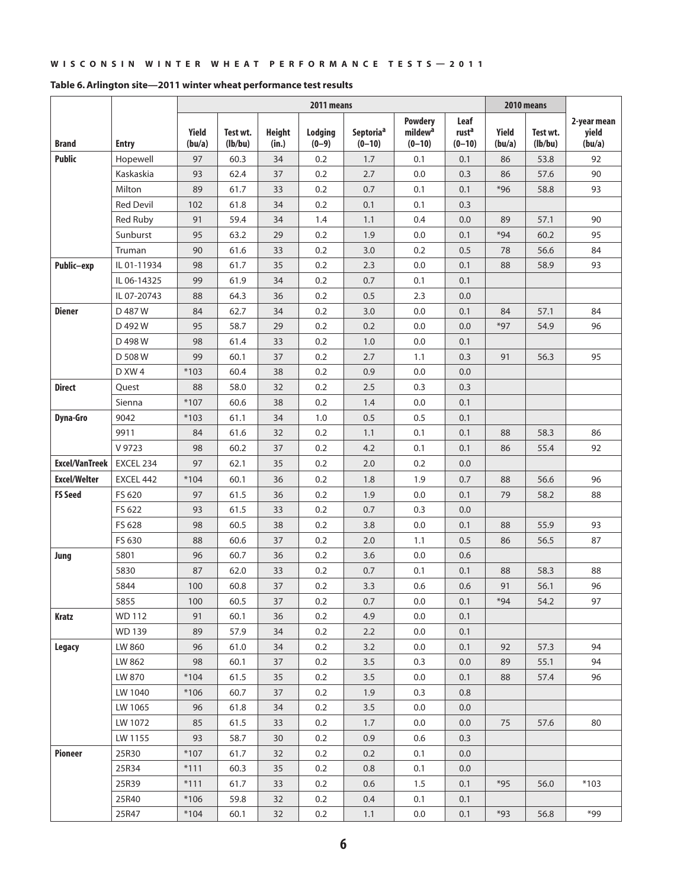|                       |                  |                 |                     |                        | 2011 means         |                       |                                                   |                                       |                 | 2010 means          |                                |
|-----------------------|------------------|-----------------|---------------------|------------------------|--------------------|-----------------------|---------------------------------------------------|---------------------------------------|-----------------|---------------------|--------------------------------|
| <b>Brand</b>          | <b>Entry</b>     | Yield<br>(bu/a) | Test wt.<br>(lb/bu) | <b>Height</b><br>(in.) | Lodging<br>$(0-9)$ | Septoriaª<br>$(0-10)$ | <b>Powdery</b><br>mildew <sup>a</sup><br>$(0-10)$ | Leaf<br>rust <sup>a</sup><br>$(0-10)$ | Yield<br>(bu/a) | Test wt.<br>(lb/bu) | 2-year mean<br>yield<br>(bu/a) |
| <b>Public</b>         | Hopewell         | 97              | 60.3                | 34                     | 0.2                | 1.7                   | 0.1                                               | 0.1                                   | 86              | 53.8                | 92                             |
|                       | Kaskaskia        | 93              | 62.4                | 37                     | 0.2                | 2.7                   | 0.0                                               | 0.3                                   | 86              | 57.6                | 90                             |
|                       | Milton           | 89              | 61.7                | 33                     | 0.2                | 0.7                   | 0.1                                               | 0.1                                   | $*96$           | 58.8                | 93                             |
|                       | <b>Red Devil</b> | 102             | 61.8                | 34                     | 0.2                | 0.1                   | 0.1                                               | 0.3                                   |                 |                     |                                |
|                       | <b>Red Ruby</b>  | 91              | 59.4                | 34                     | 1.4                | 1.1                   | 0.4                                               | 0.0                                   | 89              | 57.1                | 90                             |
|                       | Sunburst         | 95              | 63.2                | 29                     | 0.2                | 1.9                   | 0.0                                               | 0.1                                   | $*94$           | 60.2                | 95                             |
|                       | Truman           | 90              | 61.6                | 33                     | 0.2                | 3.0                   | 0.2                                               | 0.5                                   | 78              | 56.6                | 84                             |
| Public-exp            | IL 01-11934      | 98              | 61.7                | 35                     | 0.2                | 2.3                   | 0.0                                               | 0.1                                   | 88              | 58.9                | 93                             |
|                       | IL 06-14325      | 99              | 61.9                | 34                     | 0.2                | 0.7                   | 0.1                                               | 0.1                                   |                 |                     |                                |
|                       | IL 07-20743      | 88              | 64.3                | 36                     | 0.2                | 0.5                   | 2.3                                               | 0.0                                   |                 |                     |                                |
| <b>Diener</b>         | D 487 W          | 84              | 62.7                | 34                     | 0.2                | 3.0                   | 0.0                                               | 0.1                                   | 84              | 57.1                | 84                             |
|                       | D 492 W          | 95              | 58.7                | 29                     | 0.2                | 0.2                   | 0.0                                               | 0.0                                   | $*97$           | 54.9                | 96                             |
|                       | D 498 W          | 98              | 61.4                | 33                     | 0.2                | 1.0                   | 0.0                                               | 0.1                                   |                 |                     |                                |
|                       | D 508 W          | 99              | 60.1                | 37                     | 0.2                | 2.7                   | 1.1                                               | 0.3                                   | 91              | 56.3                | 95                             |
|                       | D XW 4           | $*103$          | 60.4                | 38                     | 0.2                | 0.9                   | 0.0                                               | 0.0                                   |                 |                     |                                |
| <b>Direct</b>         | Quest            | 88              | 58.0                | 32                     | 0.2                | 2.5                   | 0.3                                               | 0.3                                   |                 |                     |                                |
|                       | Sienna           | $*107$          | 60.6                | 38                     | 0.2                | 1.4                   | 0.0                                               | 0.1                                   |                 |                     |                                |
| <b>Dyna-Gro</b>       | 9042             | $*103$          | 61.1                | 34                     | 1.0                | 0.5                   | 0.5                                               | 0.1                                   |                 |                     |                                |
|                       | 9911             | 84              | 61.6                | 32                     | 0.2                | 1.1                   | 0.1                                               | 0.1                                   | 88              | 58.3                | 86                             |
|                       | V 9723           | 98              | 60.2                | 37                     | 0.2                | 4.2                   | 0.1                                               | 0.1                                   | 86              | 55.4                | 92                             |
| <b>Excel/VanTreek</b> | EXCEL 234        | 97              | 62.1                | 35                     | 0.2                | 2.0                   | 0.2                                               | 0.0                                   |                 |                     |                                |
| <b>Excel/Welter</b>   | EXCEL 442        | $*104$          | 60.1                | 36                     | 0.2                | 1.8                   | 1.9                                               | 0.7                                   | 88              | 56.6                | 96                             |
| <b>FS Seed</b>        | FS 620           | 97              | 61.5                | 36                     | 0.2                | 1.9                   | 0.0                                               | 0.1                                   | 79              | 58.2                | 88                             |
|                       | FS 622           | 93              | 61.5                | 33                     | 0.2                | 0.7                   | 0.3                                               | 0.0                                   |                 |                     |                                |
|                       | FS 628           | 98              | 60.5                | 38                     | 0.2                | 3.8                   | 0.0                                               | 0.1                                   | 88              | 55.9                | 93                             |
|                       | FS 630           | 88              | 60.6                | 37                     | 0.2                | 2.0                   | 1.1                                               | 0.5                                   | 86              | 56.5                | 87                             |
| Jung                  | 5801             | 96              | 60.7                | 36                     | 0.2                | 3.6                   | 0.0                                               | 0.6                                   |                 |                     |                                |
|                       | 5830             | 87              | 62.0                | 33                     | 0.2                | 0.7                   | 0.1                                               | 0.1                                   | 88              | 58.3                | 88                             |
|                       | 5844             | 100             | 60.8                | 37                     | 0.2                | 3.3                   | 0.6                                               | 0.6                                   | 91              | 56.1                | 96                             |
|                       | 5855             | 100             | 60.5                | 37                     | 0.2                | 0.7                   | 0.0                                               | 0.1                                   | $*94$           | 54.2                | 97                             |
| Kratz                 | <b>WD 112</b>    | 91              | 60.1                | 36                     | 0.2                | 4.9                   | $0.0\,$                                           | 0.1                                   |                 |                     |                                |
|                       | <b>WD139</b>     | 89              | 57.9                | 34                     | 0.2                | 2.2                   | 0.0                                               | 0.1                                   |                 |                     |                                |
| Legacy                | LW 860           | 96              | 61.0                | 34                     | 0.2                | 3.2                   | 0.0                                               | 0.1                                   | 92              | 57.3                | 94                             |
|                       | LW 862           | 98              | 60.1                | 37                     | 0.2                | 3.5                   | 0.3                                               | 0.0                                   | 89              | 55.1                | 94                             |
|                       | LW 870           | $*104$          | 61.5                | 35                     | 0.2                | 3.5                   | 0.0                                               | 0.1                                   | 88              | 57.4                | 96                             |
|                       | LW 1040          | $*106$          | 60.7                | 37                     | 0.2                | 1.9                   | 0.3                                               | 0.8                                   |                 |                     |                                |
|                       | LW 1065          | 96              | 61.8                | 34                     | 0.2                | 3.5                   | 0.0                                               | 0.0                                   |                 |                     |                                |
|                       | LW 1072          | 85              | 61.5                | 33                     | 0.2                | 1.7                   | 0.0                                               | 0.0                                   | 75              | 57.6                | 80                             |
|                       | LW 1155          | 93              | 58.7                | 30                     | 0.2                | 0.9                   | 0.6                                               | 0.3                                   |                 |                     |                                |
| <b>Pioneer</b>        | 25R30            | *107            | 61.7                | 32                     | 0.2                | 0.2                   | 0.1                                               | 0.0                                   |                 |                     |                                |
|                       | 25R34            | $*111$          | 60.3                | 35                     | 0.2                | 0.8                   | 0.1                                               | 0.0                                   |                 |                     |                                |
|                       | 25R39            | $*111$          | 61.7                | 33                     | 0.2                | 0.6                   | 1.5                                               | 0.1                                   | $*95$           | 56.0                | $*103$                         |
|                       | 25R40            | $*106$          | 59.8                | 32                     | 0.2                | $0.4\,$               | 0.1                                               | 0.1                                   |                 |                     |                                |
|                       | 25R47            | $*104$          | 60.1                | 32                     | 0.2                | 1.1                   | 0.0                                               | 0.1                                   | $*93$           | 56.8                | *99                            |

#### **Table 6. Arlington site—2011 winter wheat performance test results**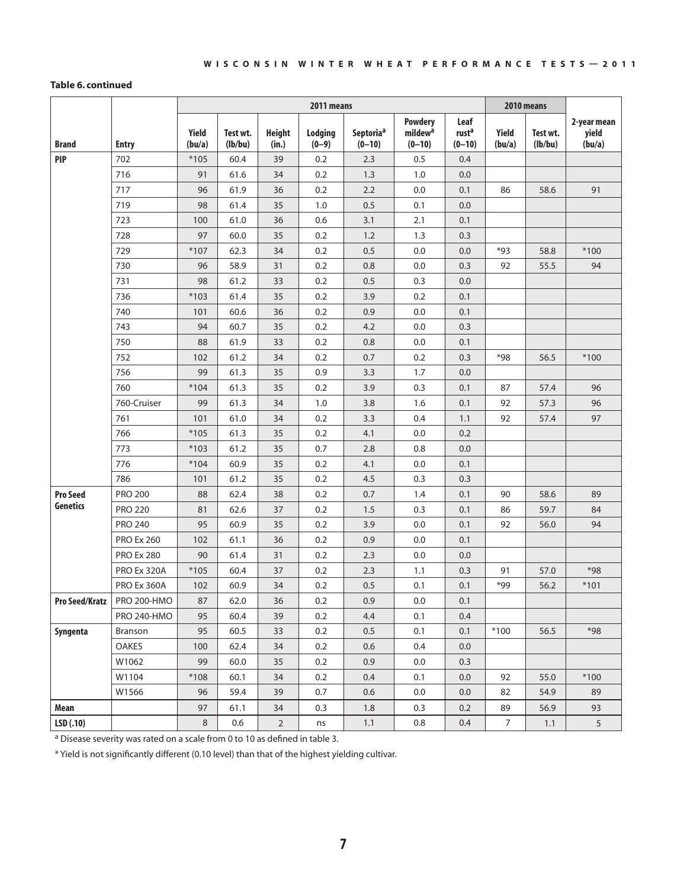#### **Table 6. continued**

|                 |                    |                 |                     |                        | 2011 means         |                                     |                                                   |                                       |                 | 2010 means          |                                |
|-----------------|--------------------|-----------------|---------------------|------------------------|--------------------|-------------------------------------|---------------------------------------------------|---------------------------------------|-----------------|---------------------|--------------------------------|
| <b>Brand</b>    | <b>Entry</b>       | Yield<br>(bu/a) | Test wt.<br>(lb/bu) | <b>Height</b><br>(in.) | Lodging<br>$(0-9)$ | Septoria <sup>a</sup><br>$(0 - 10)$ | <b>Powdery</b><br>mildew <sup>a</sup><br>$(0-10)$ | Leaf<br>rust <sup>a</sup><br>$(0-10)$ | Yield<br>(bu/a) | Test wt.<br>(lb/bu) | 2-year mean<br>yield<br>(bu/a) |
| <b>PIP</b>      | 702                | $*105$          | 60.4                | 39                     | 0.2                | 2.3                                 | 0.5                                               | 0.4                                   |                 |                     |                                |
|                 | 716                | 91              | 61.6                | 34                     | 0.2                | 1.3                                 | 1.0                                               | 0.0                                   |                 |                     |                                |
|                 | 717                | 96              | 61.9                | 36                     | 0.2                | 2.2                                 | 0.0                                               | 0.1                                   | 86              | 58.6                | 91                             |
|                 | 719                | 98              | 61.4                | 35                     | 1.0                | 0.5                                 | 0.1                                               | 0.0                                   |                 |                     |                                |
|                 | 723                | 100             | 61.0                | 36                     | 0.6                | 3.1                                 | 2.1                                               | 0.1                                   |                 |                     |                                |
|                 | 728                | 97              | 60.0                | 35                     | 0.2                | 1.2                                 | 1.3                                               | 0.3                                   |                 |                     |                                |
|                 | 729                | *107            | 62.3                | 34                     | 0.2                | 0.5                                 | 0.0                                               | 0.0                                   | *93             | 58.8                | $*100$                         |
|                 | 730                | 96              | 58.9                | 31                     | 0.2                | 0.8                                 | 0.0                                               | 0.3                                   | 92              | 55.5                | 94                             |
|                 | 731                | 98              | 61.2                | 33                     | 0.2                | 0.5                                 | 0.3                                               | 0.0                                   |                 |                     |                                |
|                 | 736                | $*103$          | 61.4                | 35                     | 0.2                | 3.9                                 | 0.2                                               | 0.1                                   |                 |                     |                                |
|                 | 740                | 101             | 60.6                | 36                     | 0.2                | 0.9                                 | 0.0                                               | 0.1                                   |                 |                     |                                |
|                 | 743                | 94              | 60.7                | 35                     | 0.2                | 4.2                                 | 0.0                                               | 0.3                                   |                 |                     |                                |
|                 | 750                | 88              | 61.9                | 33                     | 0.2                | 0.8                                 | 0.0                                               | 0.1                                   |                 |                     |                                |
|                 | 752                | 102             | 61.2                | 34                     | 0.2                | 0.7                                 | 0.2                                               | 0.3                                   | *98             | 56.5                | $*100$                         |
|                 | 756                | 99              | 61.3                | 35                     | 0.9                | 3.3                                 | 1.7                                               | 0.0                                   |                 |                     |                                |
|                 | 760                | $*104$          | 61.3                | 35                     | 0.2                | 3.9                                 | 0.3                                               | 0.1                                   | 87              | 57.4                | 96                             |
|                 | 760-Cruiser        | 99              | 61.3                | 34                     | 1.0                | 3.8                                 | 1.6                                               | 0.1                                   | 92              | 57.3                | 96                             |
|                 | 761                | 101             | 61.0                | 34                     | 0.2                | 3.3                                 | 0.4                                               | 1.1                                   | 92              | 57.4                | 97                             |
|                 | 766                | $*105$          | 61.3                | 35                     | 0.2                | 4.1                                 | 0.0                                               | 0.2                                   |                 |                     |                                |
|                 | 773                | $*103$          | 61.2                | 35                     | 0.7                | 2.8                                 | 0.8                                               | 0.0                                   |                 |                     |                                |
|                 | 776                | $*104$          | 60.9                | 35                     | 0.2                | 4.1                                 | 0.0                                               | 0.1                                   |                 |                     |                                |
|                 | 786                | 101             | 61.2                | 35                     | 0.2                | 4.5                                 | 0.3                                               | 0.3                                   |                 |                     |                                |
| <b>Pro Seed</b> | <b>PRO 200</b>     | 88              | 62.4                | 38                     | 0.2                | 0.7                                 | 1.4                                               | 0.1                                   | 90              | 58.6                | 89                             |
| <b>Genetics</b> | <b>PRO 220</b>     | 81              | 62.6                | 37                     | 0.2                | 1.5                                 | 0.3                                               | 0.1                                   | 86              | 59.7                | 84                             |
|                 | <b>PRO 240</b>     | 95              | 60.9                | 35                     | 0.2                | 3.9                                 | 0.0                                               | 0.1                                   | 92              | 56.0                | 94                             |
|                 | <b>PRO Ex 260</b>  | 102             | 61.1                | 36                     | 0.2                | 0.9                                 | 0.0                                               | 0.1                                   |                 |                     |                                |
|                 | <b>PRO Ex 280</b>  | 90              | 61.4                | 31                     | 0.2                | 2.3                                 | 0.0                                               | 0.0                                   |                 |                     |                                |
|                 | PRO Ex 320A        | $*105$          | 60.4                | 37                     | 0.2                | 2.3                                 | 1.1                                               | 0.3                                   | 91              | 57.0                | $*98$                          |
|                 | PRO Ex 360A        | 102             | 60.9                | 34                     | 0.2                | 0.5                                 | 0.1                                               | 0.1                                   | $*99$           | 56.2                | $*101$                         |
| Pro Seed/Kratz  | PRO 200-HMO        | 87              | 62.0                | 36                     | 0.2                | 0.9                                 | 0.0                                               | 0.1                                   |                 |                     |                                |
|                 | <b>PRO 240-HMO</b> | 95              | 60.4                | 39                     | 0.2                | 4.4                                 | 0.1                                               | 0.4                                   |                 |                     |                                |
| Syngenta        | <b>Branson</b>     | 95              | 60.5                | 33                     | 0.2                | 0.5                                 | 0.1                                               | 0.1                                   | $*100$          | 56.5                | $*98$                          |
|                 | <b>OAKES</b>       | 100             | 62.4                | 34                     | 0.2                | $0.6\,$                             | 0.4                                               | 0.0                                   |                 |                     |                                |
|                 | W1062              | 99              | 60.0                | 35                     | 0.2                | 0.9                                 | 0.0                                               | 0.3                                   |                 |                     |                                |
|                 | W1104              | $*108$          | 60.1                | 34                     | 0.2                | 0.4                                 | 0.1                                               | 0.0                                   | 92              | 55.0                | $*100$                         |
|                 | W1566              | 96              | 59.4                | 39                     | 0.7                | 0.6                                 | 0.0                                               | 0.0                                   | 82              | 54.9                | 89                             |
| Mean            |                    | 97              | 61.1                | 34                     | 0.3                | $1.8\,$                             | 0.3                                               | 0.2                                   | 89              | 56.9                | 93                             |
| LSD(.10)        |                    | $\,8\,$         | 0.6                 | $\overline{2}$         | ns                 | 1.1                                 | 0.8                                               | 0.4                                   | $\overline{7}$  | 1.1                 | $5\phantom{.0}$                |

a Disease severity was rated on a scale from 0 to 10 as defined in table 3.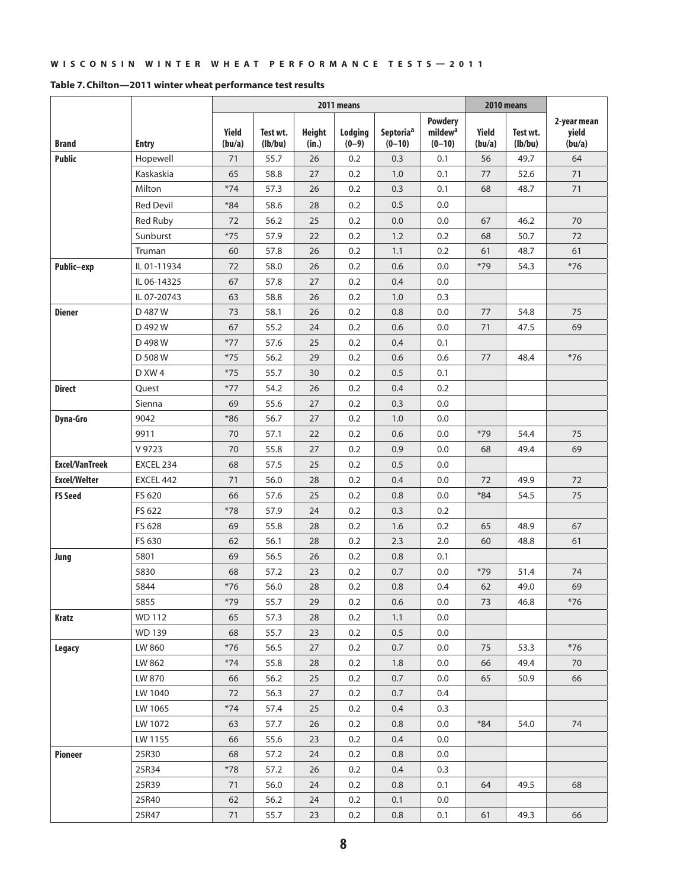| Table 7. Chilton-2011 winter wheat performance test results |  |  |  |
|-------------------------------------------------------------|--|--|--|
|-------------------------------------------------------------|--|--|--|

|                       |                  |                 |                     |                        | 2011 means                |                                     |                                                   |                 | 2010 means          |                                |
|-----------------------|------------------|-----------------|---------------------|------------------------|---------------------------|-------------------------------------|---------------------------------------------------|-----------------|---------------------|--------------------------------|
| <b>Brand</b>          | <b>Entry</b>     | Yield<br>(bu/a) | Test wt.<br>(lb/bu) | <b>Height</b><br>(in.) | <b>Lodging</b><br>$(0-9)$ | Septoria <sup>a</sup><br>$(0 - 10)$ | <b>Powdery</b><br>mildew <sup>a</sup><br>$(0-10)$ | Yield<br>(bu/a) | Test wt.<br>(lb/bu) | 2-year mean<br>yield<br>(bu/a) |
| <b>Public</b>         | Hopewell         | 71              | 55.7                | 26                     | 0.2                       | 0.3                                 | 0.1                                               | 56              | 49.7                | 64                             |
|                       | Kaskaskia        | 65              | 58.8                | 27                     | 0.2                       | 1.0                                 | 0.1                                               | 77              | 52.6                | 71                             |
|                       | Milton           | $*74$           | 57.3                | 26                     | 0.2                       | 0.3                                 | 0.1                                               | 68              | 48.7                | 71                             |
|                       | <b>Red Devil</b> | $*84$           | 58.6                | 28                     | 0.2                       | 0.5                                 | 0.0                                               |                 |                     |                                |
|                       | <b>Red Ruby</b>  | 72              | 56.2                | 25                     | 0.2                       | 0.0                                 | 0.0                                               | 67              | 46.2                | 70                             |
|                       | Sunburst         | $*75$           | 57.9                | 22                     | 0.2                       | 1.2                                 | 0.2                                               | 68              | 50.7                | 72                             |
|                       | Truman           | 60              | 57.8                | 26                     | 0.2                       | 1.1                                 | 0.2                                               | 61              | 48.7                | 61                             |
| Public-exp            | IL 01-11934      | 72              | 58.0                | 26                     | 0.2                       | 0.6                                 | 0.0                                               | $*79$           | 54.3                | $*76$                          |
|                       | IL 06-14325      | 67              | 57.8                | 27                     | 0.2                       | 0.4                                 | 0.0                                               |                 |                     |                                |
|                       | IL 07-20743      | 63              | 58.8                | 26                     | 0.2                       | 1.0                                 | 0.3                                               |                 |                     |                                |
| <b>Diener</b>         | D 487 W          | 73              | 58.1                | 26                     | 0.2                       | 0.8                                 | 0.0                                               | 77              | 54.8                | 75                             |
|                       | D 492 W          | 67              | 55.2                | 24                     | 0.2                       | 0.6                                 | 0.0                                               | 71              | 47.5                | 69                             |
|                       | D 498 W          | $*77$           | 57.6                | 25                     | 0.2                       | 0.4                                 | 0.1                                               |                 |                     |                                |
|                       | D 508 W          | $*75$           | 56.2                | 29                     | 0.2                       | 0.6                                 | 0.6                                               | 77              | 48.4                | $*76$                          |
|                       | D XW 4           | $*75$           | 55.7                | 30                     | 0.2                       | 0.5                                 | 0.1                                               |                 |                     |                                |
| <b>Direct</b>         | Quest            | $*77$           | 54.2                | 26                     | 0.2                       | 0.4                                 | 0.2                                               |                 |                     |                                |
|                       | Sienna           | 69              | 55.6                | 27                     | 0.2                       | 0.3                                 | 0.0                                               |                 |                     |                                |
| <b>Dyna-Gro</b>       | 9042             | $*86$           | 56.7                | 27                     | 0.2                       | $1.0$                               | 0.0                                               |                 |                     |                                |
|                       | 9911             | 70              | 57.1                | 22                     | 0.2                       | 0.6                                 | 0.0                                               | $*79$           | 54.4                | 75                             |
|                       | V 9723           | 70              | 55.8                | 27                     | 0.2                       | 0.9                                 | 0.0                                               | 68              | 49.4                | 69                             |
| <b>Excel/VanTreek</b> | EXCEL 234        | 68              | 57.5                | 25                     | 0.2                       | 0.5                                 | 0.0                                               |                 |                     |                                |
| <b>Excel/Welter</b>   | EXCEL 442        | 71              | 56.0                | 28                     | 0.2                       | 0.4                                 | 0.0                                               | 72              | 49.9                | 72                             |
| <b>FS Seed</b>        | FS 620           | 66              | 57.6                | 25                     | 0.2                       | 0.8                                 | 0.0                                               | $*84$           | 54.5                | 75                             |
|                       | FS 622           | $*78$           | 57.9                | 24                     | 0.2                       | 0.3                                 | 0.2                                               |                 |                     |                                |
|                       | FS 628           | 69              | 55.8                | 28                     | 0.2                       | 1.6                                 | 0.2                                               | 65              | 48.9                | 67                             |
|                       | FS 630           | 62              | 56.1                | 28                     | 0.2                       | 2.3                                 | 2.0                                               | 60              | 48.8                | 61                             |
| Jung                  | 5801             | 69              | 56.5                | 26                     | 0.2                       | 0.8                                 | 0.1                                               |                 |                     |                                |
|                       | 5830             | 68              | 57.2                | 23                     | 0.2                       | 0.7                                 | 0.0                                               | $*79$           | 51.4                | 74                             |
|                       | 5844             | $*76$           | 56.0                | 28                     | 0.2                       | 0.8                                 | 0.4                                               | 62              | 49.0                | 69                             |
|                       | 5855             | $*79$           | 55.7                | 29                     | 0.2                       | $0.6\,$                             | 0.0                                               | 73              | 46.8                | $*76$                          |
| <b>Kratz</b>          | <b>WD 112</b>    | 65              | 57.3                | 28                     | 0.2                       | 1.1                                 | $0.0\,$                                           |                 |                     |                                |
|                       | <b>WD 139</b>    | 68              | 55.7                | 23                     | 0.2                       | 0.5                                 | 0.0                                               |                 |                     |                                |
| Legacy                | LW 860           | $*76$           | 56.5                | 27                     | 0.2                       | 0.7                                 | 0.0                                               | 75              | 53.3                | $*76$                          |
|                       | LW 862           | $*74$           | 55.8                | 28                     | 0.2                       | 1.8                                 | 0.0                                               | 66              | 49.4                | 70                             |
|                       | LW 870           | 66              | 56.2                | 25                     | 0.2                       | 0.7                                 | 0.0                                               | 65              | 50.9                | 66                             |
|                       | LW 1040          | 72              | 56.3                | 27                     | 0.2                       | 0.7                                 | 0.4                                               |                 |                     |                                |
|                       | LW 1065          | $*74$           | 57.4                | 25                     | 0.2                       | 0.4                                 | 0.3                                               |                 |                     |                                |
|                       | LW 1072          | 63              | 57.7                | 26                     | 0.2                       | 0.8                                 | $0.0\,$                                           | $*84$           | 54.0                | 74                             |
|                       | LW 1155          | 66              | 55.6                | 23                     | 0.2                       | 0.4                                 | 0.0                                               |                 |                     |                                |
| Pioneer               | 25R30            | 68              | 57.2                | 24                     | 0.2                       | 0.8                                 | 0.0                                               |                 |                     |                                |
|                       | 25R34            | $*78$           | 57.2                | 26                     | 0.2                       | 0.4                                 | 0.3                                               |                 |                     |                                |
|                       | 25R39            | 71              | 56.0                | 24                     | 0.2                       | 0.8                                 | 0.1                                               | 64              | 49.5                | 68                             |
|                       | 25R40            | 62              | 56.2                | 24                     | 0.2                       | 0.1                                 | 0.0                                               |                 |                     |                                |
|                       | 25R47            | 71              | 55.7                | 23                     | 0.2                       | 0.8                                 | 0.1                                               | 61              | 49.3                | 66                             |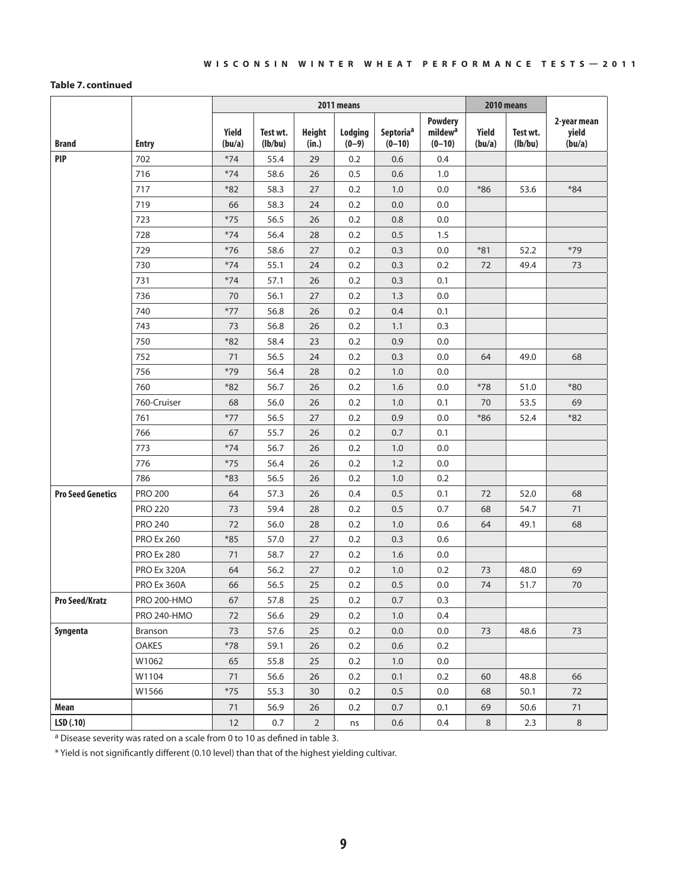#### **Table 7. continued**

|                          |                    |                 |                     |                        | 2011 means         |                                   |                                                     |                 | 2010 means          |                                |
|--------------------------|--------------------|-----------------|---------------------|------------------------|--------------------|-----------------------------------|-----------------------------------------------------|-----------------|---------------------|--------------------------------|
| <b>Brand</b>             | <b>Entry</b>       | Yield<br>(bu/a) | Test wt.<br>(lb/bu) | <b>Height</b><br>(in.) | Lodging<br>$(0-9)$ | Septoria <sup>a</sup><br>$(0-10)$ | <b>Powdery</b><br>mildew <sup>a</sup><br>$(0 - 10)$ | Yield<br>(bu/a) | Test wt.<br>(lb/bu) | 2-year mean<br>yield<br>(bu/a) |
| <b>PIP</b>               | 702                | $*74$           | 55.4                | 29                     | 0.2                | 0.6                               | 0.4                                                 |                 |                     |                                |
|                          | 716                | $*74$           | 58.6                | 26                     | 0.5                | 0.6                               | 1.0                                                 |                 |                     |                                |
|                          | 717                | $*82$           | 58.3                | 27                     | 0.2                | 1.0                               | 0.0                                                 | $*86$           | 53.6                | $*84$                          |
|                          | 719                | 66              | 58.3                | 24                     | 0.2                | 0.0                               | 0.0                                                 |                 |                     |                                |
|                          | 723                | $*75$           | 56.5                | 26                     | 0.2                | 0.8                               | 0.0                                                 |                 |                     |                                |
|                          | 728                | $*74$           | 56.4                | 28                     | 0.2                | 0.5                               | 1.5                                                 |                 |                     |                                |
|                          | 729                | $*76$           | 58.6                | 27                     | 0.2                | 0.3                               | 0.0                                                 | $*81$           | 52.2                | $*79$                          |
|                          | 730                | $*74$           | 55.1                | 24                     | 0.2                | 0.3                               | 0.2                                                 | 72              | 49.4                | 73                             |
|                          | 731                | $*74$           | 57.1                | 26                     | 0.2                | 0.3                               | 0.1                                                 |                 |                     |                                |
|                          | 736                | 70              | 56.1                | 27                     | 0.2                | 1.3                               | 0.0                                                 |                 |                     |                                |
|                          | 740                | $*77$           | 56.8                | 26                     | 0.2                | 0.4                               | 0.1                                                 |                 |                     |                                |
|                          | 743                | 73              | 56.8                | 26                     | 0.2                | 1.1                               | 0.3                                                 |                 |                     |                                |
|                          | 750                | $*82$           | 58.4                | 23                     | 0.2                | 0.9                               | 0.0                                                 |                 |                     |                                |
|                          | 752                | 71              | 56.5                | 24                     | 0.2                | 0.3                               | 0.0                                                 | 64              | 49.0                | 68                             |
|                          | 756                | $*79$           | 56.4                | 28                     | 0.2                | 1.0                               | 0.0                                                 |                 |                     |                                |
|                          | 760                | $*82$           | 56.7                | 26                     | 0.2                | 1.6                               | 0.0                                                 | $*78$           | 51.0                | $*80$                          |
|                          | 760-Cruiser        | 68              | 56.0                | 26                     | 0.2                | 1.0                               | 0.1                                                 | 70              | 53.5                | 69                             |
|                          | 761                | $*77$           | 56.5                | 27                     | 0.2                | 0.9                               | 0.0                                                 | $*86$           | 52.4                | $*82$                          |
|                          | 766                | 67              | 55.7                | 26                     | 0.2                | 0.7                               | 0.1                                                 |                 |                     |                                |
|                          | 773                | $*74$           | 56.7                | 26                     | 0.2                | 1.0                               | 0.0                                                 |                 |                     |                                |
|                          | 776                | $*75$           | 56.4                | 26                     | 0.2                | 1.2                               | 0.0                                                 |                 |                     |                                |
|                          | 786                | $*83$           | 56.5                | 26                     | 0.2                | 1.0                               | 0.2                                                 |                 |                     |                                |
| <b>Pro Seed Genetics</b> | <b>PRO 200</b>     | 64              | 57.3                | 26                     | 0.4                | 0.5                               | 0.1                                                 | 72              | 52.0                | 68                             |
|                          | <b>PRO 220</b>     | 73              | 59.4                | 28                     | 0.2                | 0.5                               | 0.7                                                 | 68              | 54.7                | 71                             |
|                          | <b>PRO 240</b>     | 72              | 56.0                | 28                     | 0.2                | 1.0                               | 0.6                                                 | 64              | 49.1                | 68                             |
|                          | <b>PRO Ex 260</b>  | $*85$           | 57.0                | 27                     | 0.2                | 0.3                               | 0.6                                                 |                 |                     |                                |
|                          | <b>PRO Ex 280</b>  | 71              | 58.7                | 27                     | 0.2                | 1.6                               | 0.0                                                 |                 |                     |                                |
|                          | PRO Ex 320A        | 64              | 56.2                | 27                     | 0.2                | 1.0                               | 0.2                                                 | 73              | 48.0                | 69                             |
|                          | <b>PRO Ex 360A</b> | 66              | 56.5                | 25                     | 0.2                | 0.5                               | 0.0                                                 | 74              | 51.7                | 70                             |
| <b>Pro Seed/Kratz</b>    | <b>PRO 200-HMO</b> | 67              | 57.8                | 25                     | 0.2                | 0.7                               | 0.3                                                 |                 |                     |                                |
|                          | <b>PRO 240-HMO</b> | 72              | 56.6                | 29                     | 0.2                | 1.0                               | 0.4                                                 |                 |                     |                                |
| Syngenta                 | Branson            | 73              | 57.6                | 25                     | 0.2                | 0.0                               | 0.0                                                 | 73              | 48.6                | 73                             |
|                          | <b>OAKES</b>       | $*78$           | 59.1                | 26                     | 0.2                | 0.6                               | 0.2                                                 |                 |                     |                                |
|                          | W1062              | 65              | 55.8                | 25                     | 0.2                | 1.0                               | 0.0                                                 |                 |                     |                                |
|                          | W1104              | 71              | 56.6                | 26                     | 0.2                | 0.1                               | 0.2                                                 | 60              | 48.8                | 66                             |
|                          | W1566              | $*75$           | 55.3                | 30                     | 0.2                | 0.5                               | 0.0                                                 | 68              | 50.1                | 72                             |
| Mean                     |                    | 71              | 56.9                | 26                     | 0.2                | 0.7                               | 0.1                                                 | 69              | 50.6                | 71                             |
| LSD(.10)                 |                    | 12              | 0.7                 | $\overline{2}$         | ns                 | 0.6                               | 0.4                                                 | 8               | 2.3                 | $8\phantom{1}$                 |

a Disease severity was rated on a scale from 0 to 10 as defined in table 3.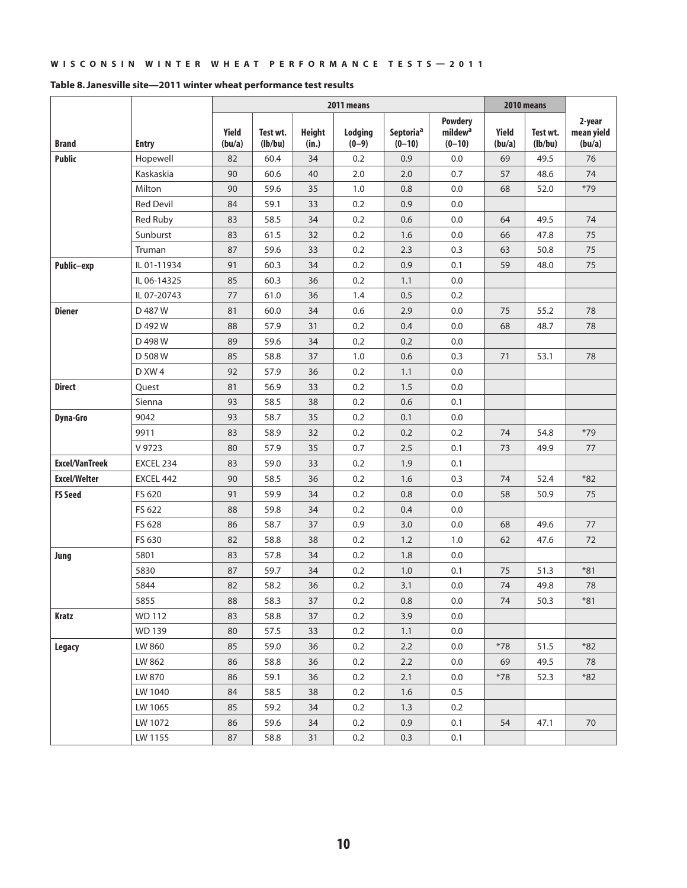|                       |                  |                 |                     |                        | 2011 means         |                                   |                                                   |                 | 2010 means          |                                |
|-----------------------|------------------|-----------------|---------------------|------------------------|--------------------|-----------------------------------|---------------------------------------------------|-----------------|---------------------|--------------------------------|
| <b>Brand</b>          | <b>Entry</b>     | Yield<br>(bu/a) | Test wt.<br>(lb/bu) | <b>Height</b><br>(in.) | Lodging<br>$(0-9)$ | Septoria <sup>a</sup><br>$(0-10)$ | <b>Powdery</b><br>mildew <sup>a</sup><br>$(0-10)$ | Yield<br>(bu/a) | Test wt.<br>(lb/bu) | 2-year<br>mean yield<br>(bu/a) |
| <b>Public</b>         | Hopewell         | 82              | 60.4                | 34                     | 0.2                | 0.9                               | 0.0                                               | 69              | 49.5                | 76                             |
|                       | Kaskaskia        | 90              | 60.6                | 40                     | 2.0                | 2.0                               | 0.7                                               | 57              | 48.6                | 74                             |
|                       | Milton           | 90              | 59.6                | 35                     | 1.0                | 0.8                               | 0.0                                               | 68              | 52.0                | $*79$                          |
|                       | <b>Red Devil</b> | 84              | 59.1                | 33                     | 0.2                | 0.9                               | 0.0                                               |                 |                     |                                |
|                       | <b>Red Ruby</b>  | 83              | 58.5                | 34                     | 0.2                | 0.6                               | 0.0                                               | 64              | 49.5                | 74                             |
|                       | Sunburst         | 83              | 61.5                | 32                     | 0.2                | 1.6                               | 0.0                                               | 66              | 47.8                | 75                             |
|                       | Truman           | 87              | 59.6                | 33                     | 0.2                | 2.3                               | 0.3                                               | 63              | 50.8                | 75                             |
| Public-exp            | IL 01-11934      | 91              | 60.3                | 34                     | 0.2                | 0.9                               | 0.1                                               | 59              | 48.0                | 75                             |
|                       | IL 06-14325      | 85              | 60.3                | 36                     | 0.2                | 1.1                               | 0.0                                               |                 |                     |                                |
|                       | IL 07-20743      | 77              | 61.0                | 36                     | 1.4                | 0.5                               | 0.2                                               |                 |                     |                                |
| <b>Diener</b>         | D 487 W          | 81              | 60.0                | 34                     | 0.6                | 2.9                               | 0.0                                               | 75              | 55.2                | 78                             |
|                       | D 492 W          | 88              | 57.9                | 31                     | 0.2                | 0.4                               | 0.0                                               | 68              | 48.7                | 78                             |
|                       | D 498 W          | 89              | 59.6                | 34                     | 0.2                | 0.2                               | 0.0                                               |                 |                     |                                |
|                       | D 508 W          | 85              | 58.8                | 37                     | 1.0                | 0.6                               | 0.3                                               | 71              | 53.1                | 78                             |
|                       | D XW 4           | 92              | 57.9                | 36                     | 0.2                | 1.1                               | 0.0                                               |                 |                     |                                |
| <b>Direct</b>         | Quest            | 81              | 56.9                | 33                     | 0.2                | 1.5                               | 0.0                                               |                 |                     |                                |
|                       | Sienna           | 93              | 58.5                | 38                     | 0.2                | 0.6                               | 0.1                                               |                 |                     |                                |
| Dyna-Gro              | 9042             | 93              | 58.7                | 35                     | 0.2                | 0.1                               | 0.0                                               |                 |                     |                                |
|                       | 9911             | 83              | 58.9                | 32                     | 0.2                | 0.2                               | 0.2                                               | 74              | 54.8                | $*79$                          |
|                       | V 9723           | 80              | 57.9                | 35                     | 0.7                | 2.5                               | 0.1                                               | 73              | 49.9                | 77                             |
| <b>Excel/VanTreek</b> | EXCEL 234        | 83              | 59.0                | 33                     | 0.2                | 1.9                               | 0.1                                               |                 |                     |                                |
| <b>Excel/Welter</b>   | EXCEL 442        | 90              | 58.5                | 36                     | 0.2                | 1.6                               | 0.3                                               | 74              | 52.4                | $*82$                          |
| <b>FS Seed</b>        | FS 620           | 91              | 59.9                | 34                     | 0.2                | 0.8                               | 0.0                                               | 58              | 50.9                | 75                             |
|                       | FS 622           | 88              | 59.8                | 34                     | 0.2                | 0.4                               | 0.0                                               |                 |                     |                                |
|                       | FS 628           | 86              | 58.7                | 37                     | 0.9                | 3.0                               | 0.0                                               | 68              | 49.6                | 77                             |
|                       | FS 630           | 82              | 58.8                | 38                     | 0.2                | 1.2                               | 1.0                                               | 62              | 47.6                | 72                             |
| Jung                  | 5801             | 83              | 57.8                | 34                     | 0.2                | 1.8                               | 0.0                                               |                 |                     |                                |
|                       | 5830             | 87              | 59.7                | 34                     | 0.2                | 1.0                               | 0.1                                               | 75              | 51.3                | $*81$                          |
|                       | 5844             | 82              | 58.2                | 36                     | 0.2                | 3.1                               | 0.0                                               | 74              | 49.8                | 78                             |
|                       | 5855             | 88              | 58.3                | 37                     | 0.2                | 0.8                               | 0.0                                               | 74              | 50.3                | *81                            |
| Kratz                 | WD 112           | 83              | 58.8                | 37                     | 0.2                | 3.9                               | 0.0                                               |                 |                     |                                |
|                       | <b>WD 139</b>    | 80              | 57.5                | 33                     | 0.2                | 1.1                               | 0.0                                               |                 |                     |                                |
| Legacy                | LW 860           | 85              | 59.0                | 36                     | 0.2                | 2.2                               | 0.0                                               | $*78$           | 51.5                | $*82$                          |
|                       | LW 862           | 86              | 58.8                | 36                     | 0.2                | 2.2                               | 0.0                                               | 69              | 49.5                | 78                             |
|                       | LW 870           | 86              | 59.1                | 36                     | 0.2                | 2.1                               | 0.0                                               | $*78$           | 52.3                | $*82$                          |
|                       | LW 1040          | 84              | 58.5                | 38                     | 0.2                | 1.6                               | 0.5                                               |                 |                     |                                |
|                       | LW 1065          | 85              | 59.2                | 34                     | 0.2                | 1.3                               | 0.2                                               |                 |                     |                                |
|                       | LW 1072          | 86              | 59.6                | 34                     | 0.2                | 0.9                               | 0.1                                               | 54              | 47.1                | 70                             |
|                       | LW 1155          | 87              | 58.8                | 31                     | 0.2                | 0.3                               | 0.1                                               |                 |                     |                                |

#### **Table 8. Janesville site—2011 winter wheat performance test results**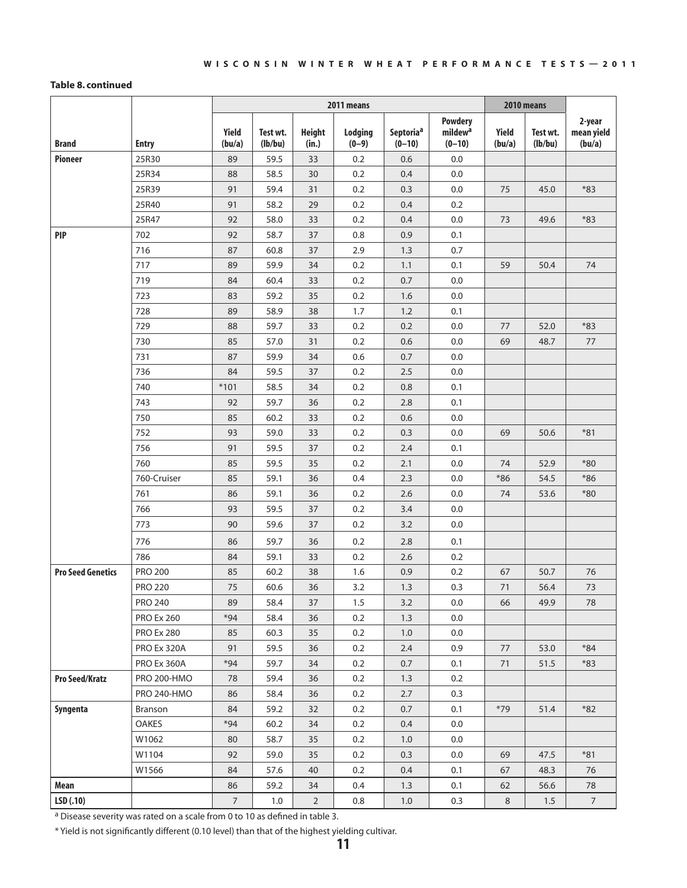#### **Table 8. continued**

|                          |                    | 2011 means      |                     |                        |                    |                       |                                                   | 2010 means      |                     |                                |
|--------------------------|--------------------|-----------------|---------------------|------------------------|--------------------|-----------------------|---------------------------------------------------|-----------------|---------------------|--------------------------------|
| <b>Brand</b>             | <b>Entry</b>       | Yield<br>(bu/a) | Test wt.<br>(lb/bu) | <b>Height</b><br>(in.) | Lodging<br>$(0-9)$ | Septoriaª<br>$(0-10)$ | <b>Powdery</b><br>mildew <sup>a</sup><br>$(0-10)$ | Yield<br>(bu/a) | Test wt.<br>(lb/bu) | 2-year<br>mean yield<br>(bu/a) |
| <b>Pioneer</b>           | 25R30              | 89              | 59.5                | 33                     | 0.2                | 0.6                   | 0.0                                               |                 |                     |                                |
|                          | 25R34              | 88              | 58.5                | 30                     | 0.2                | 0.4                   | 0.0                                               |                 |                     |                                |
|                          | 25R39              | 91              | 59.4                | 31                     | 0.2                | 0.3                   | 0.0                                               | 75              | 45.0                | $*83$                          |
|                          | 25R40              | 91              | 58.2                | 29                     | 0.2                | 0.4                   | 0.2                                               |                 |                     |                                |
|                          | 25R47              | 92              | 58.0                | 33                     | 0.2                | 0.4                   | 0.0                                               | 73              | 49.6                | $*83$                          |
| <b>PIP</b>               | 702                | 92              | 58.7                | 37                     | 0.8                | 0.9                   | 0.1                                               |                 |                     |                                |
|                          | 716                | 87              | 60.8                | 37                     | 2.9                | 1.3                   | 0.7                                               |                 |                     |                                |
|                          | 717                | 89              | 59.9                | 34                     | 0.2                | 1.1                   | 0.1                                               | 59              | 50.4                | 74                             |
|                          | 719                | 84              | 60.4                | 33                     | 0.2                | 0.7                   | 0.0                                               |                 |                     |                                |
|                          | 723                | 83              | 59.2                | 35                     | 0.2                | 1.6                   | 0.0                                               |                 |                     |                                |
|                          | 728                | 89              | 58.9                | 38                     | 1.7                | 1.2                   | 0.1                                               |                 |                     |                                |
|                          | 729                | 88              | 59.7                | 33                     | 0.2                | 0.2                   | 0.0                                               | 77              | 52.0                | $*83$                          |
|                          | 730                | 85              | 57.0                | 31                     | 0.2                | 0.6                   | 0.0                                               | 69              | 48.7                | $77$                           |
|                          | 731                | 87              | 59.9                | 34                     | 0.6                | 0.7                   | 0.0                                               |                 |                     |                                |
|                          | 736                | 84              | 59.5                | 37                     | 0.2                | 2.5                   | 0.0                                               |                 |                     |                                |
|                          | 740                | $*101$          | 58.5                | 34                     | 0.2                | 0.8                   | 0.1                                               |                 |                     |                                |
|                          | 743                | 92              | 59.7                | 36                     | 0.2                | 2.8                   | 0.1                                               |                 |                     |                                |
|                          | 750                | 85              | 60.2                | 33                     | 0.2                | 0.6                   | 0.0                                               |                 |                     |                                |
|                          | 752                | 93              | 59.0                | 33                     | 0.2                | 0.3                   | 0.0                                               | 69              | 50.6                | $*81$                          |
|                          | 756                | 91              | 59.5                | 37                     | 0.2                | 2.4                   | 0.1                                               |                 |                     |                                |
|                          | 760                | 85              | 59.5                | 35                     | 0.2                | 2.1                   | 0.0                                               | 74              | 52.9                | $*80$                          |
|                          | 760-Cruiser        | 85              | 59.1                | 36                     | 0.4                | 2.3                   | 0.0                                               | $*86$           | 54.5                | $*86$                          |
|                          | 761                | 86              | 59.1                | 36                     | 0.2                | 2.6                   | 0.0                                               | 74              | 53.6                | $*80$                          |
|                          | 766                | 93              | 59.5                | 37                     | 0.2                | 3.4                   | 0.0                                               |                 |                     |                                |
|                          | 773                | 90              | 59.6                | 37                     | 0.2                | 3.2                   | 0.0                                               |                 |                     |                                |
|                          | 776                | 86              | 59.7                | 36                     | 0.2                | 2.8                   | 0.1                                               |                 |                     |                                |
|                          | 786                | 84              | 59.1                | 33                     | 0.2                | 2.6                   | 0.2                                               |                 |                     |                                |
| <b>Pro Seed Genetics</b> | <b>PRO 200</b>     | 85              | 60.2                | 38                     | 1.6                | 0.9                   | 0.2                                               | 67              | 50.7                | 76                             |
|                          | <b>PRO 220</b>     | 75              | 60.6                | 36                     | 3.2                | 1.3                   | 0.3                                               | 71              | 56.4                | 73                             |
|                          | <b>PRO 240</b>     | 89              | 58.4                | 37                     | 1.5                | 3.2                   | 0.0                                               | 66              | 49.9                | 78                             |
|                          | <b>PRO Ex 260</b>  | $*94$           | 58.4                | 36                     | 0.2                | 1.3                   | 0.0                                               |                 |                     |                                |
|                          | <b>PRO Ex 280</b>  | 85              | 60.3                | 35                     | 0.2                | 1.0                   | 0.0                                               |                 |                     |                                |
|                          | PRO Ex 320A        | 91              | 59.5                | 36                     | 0.2                | 2.4                   | 0.9                                               | 77              | 53.0                | $*84$                          |
|                          | PRO Ex 360A        | $*94$           | 59.7                | 34                     | 0.2                | 0.7                   | 0.1                                               | 71              | 51.5                | $*83$                          |
| <b>Pro Seed/Kratz</b>    | <b>PRO 200-HMO</b> | 78              | 59.4                | 36                     | 0.2                | 1.3                   | 0.2                                               |                 |                     |                                |
|                          | <b>PRO 240-HMO</b> | 86              | 58.4                | 36                     | 0.2                | 2.7                   | 0.3                                               |                 |                     |                                |
| Syngenta                 | Branson            | 84              | 59.2                | 32                     | 0.2                | 0.7                   | 0.1                                               | $*79$           | 51.4                | $*82$                          |
|                          | OAKES              | $*94$           | 60.2                | 34                     | 0.2                | 0.4                   | 0.0                                               |                 |                     |                                |
|                          | W1062              | 80              | 58.7                | 35                     | 0.2                | 1.0                   | 0.0                                               |                 |                     |                                |
|                          | W1104              | 92              | 59.0                | 35                     | 0.2                | 0.3                   | 0.0                                               | 69              | 47.5                | $*81$                          |
|                          | W1566              | 84              | 57.6                | 40                     | 0.2                | 0.4                   | 0.1                                               | 67              | 48.3                | 76                             |
| Mean                     |                    | 86              | 59.2                | 34                     | 0.4                | 1.3                   | 0.1                                               | 62              | 56.6                | 78                             |
| LSD(.10)                 |                    | $\overline{7}$  | $1.0\,$             | $\overline{2}$         | 0.8                | 1.0                   | 0.3                                               | $\,8\,$         | 1.5                 | $\overline{7}$                 |

a Disease severity was rated on a scale from 0 to 10 as defined in table 3.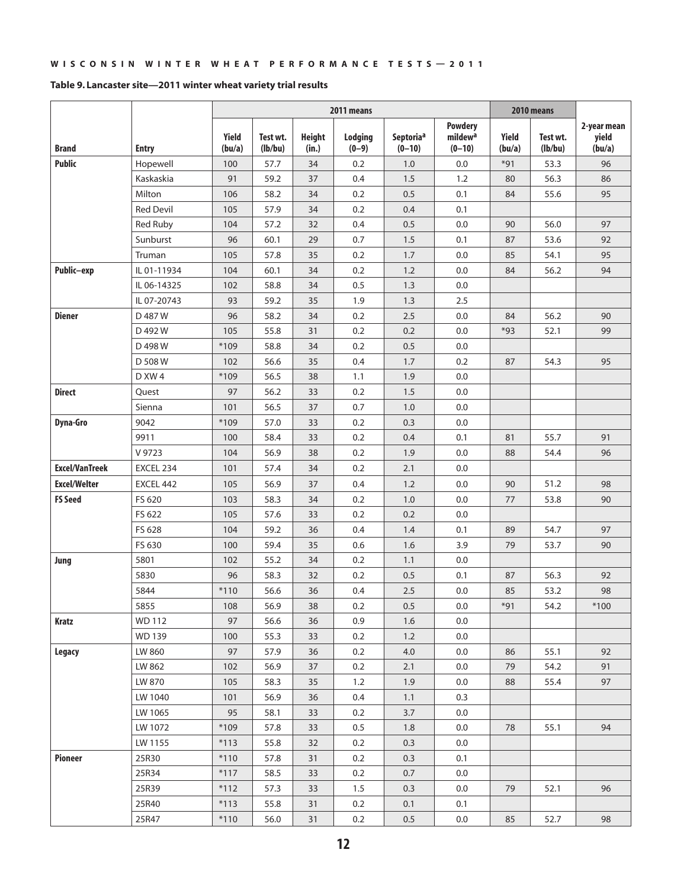#### **Table 9. Lancaster site—2011 winter wheat variety trial results**

|                       |                  | 2011 means             |                     |                        |                    |                                   |                                                   |                        | 2010 means          |                                |
|-----------------------|------------------|------------------------|---------------------|------------------------|--------------------|-----------------------------------|---------------------------------------------------|------------------------|---------------------|--------------------------------|
| <b>Brand</b>          | <b>Entry</b>     | <b>Yield</b><br>(bu/a) | Test wt.<br>(lb/bu) | <b>Height</b><br>(in.) | Lodging<br>$(0-9)$ | Septoria <sup>a</sup><br>$(0-10)$ | <b>Powdery</b><br>mildew <sup>a</sup><br>$(0-10)$ | <b>Yield</b><br>(bu/a) | Test wt.<br>(lb/bu) | 2-year mean<br>yield<br>(bu/a) |
| <b>Public</b>         | Hopewell         | 100                    | 57.7                | 34                     | 0.2                | 1.0                               | 0.0                                               | $*91$                  | 53.3                | 96                             |
|                       | Kaskaskia        | 91                     | 59.2                | 37                     | 0.4                | 1.5                               | 1.2                                               | 80                     | 56.3                | 86                             |
|                       | Milton           | 106                    | 58.2                | 34                     | 0.2                | 0.5                               | 0.1                                               | 84                     | 55.6                | 95                             |
|                       | <b>Red Devil</b> | 105                    | 57.9                | 34                     | 0.2                | 0.4                               | 0.1                                               |                        |                     |                                |
|                       | Red Ruby         | 104                    | 57.2                | 32                     | 0.4                | 0.5                               | 0.0                                               | 90                     | 56.0                | 97                             |
|                       | Sunburst         | 96                     | 60.1                | 29                     | 0.7                | 1.5                               | 0.1                                               | 87                     | 53.6                | 92                             |
|                       | Truman           | 105                    | 57.8                | 35                     | 0.2                | 1.7                               | 0.0                                               | 85                     | 54.1                | 95                             |
| Public-exp            | IL 01-11934      | 104                    | 60.1                | 34                     | 0.2                | 1.2                               | 0.0                                               | 84                     | 56.2                | 94                             |
|                       | IL 06-14325      | 102                    | 58.8                | 34                     | 0.5                | 1.3                               | 0.0                                               |                        |                     |                                |
|                       | IL 07-20743      | 93                     | 59.2                | 35                     | 1.9                | 1.3                               | 2.5                                               |                        |                     |                                |
| <b>Diener</b>         | D 487 W          | 96                     | 58.2                | 34                     | 0.2                | 2.5                               | 0.0                                               | 84                     | 56.2                | 90                             |
|                       | D 492 W          | 105                    | 55.8                | 31                     | 0.2                | 0.2                               | 0.0                                               | $*93$                  | 52.1                | 99                             |
|                       | D 498 W          | $*109$                 | 58.8                | 34                     | 0.2                | 0.5                               | 0.0                                               |                        |                     |                                |
|                       | D 508 W          | 102                    | 56.6                | 35                     | 0.4                | 1.7                               | 0.2                                               | 87                     | 54.3                | 95                             |
|                       | D XW 4           | *109                   | 56.5                | 38                     | 1.1                | 1.9                               | 0.0                                               |                        |                     |                                |
| <b>Direct</b>         | Quest            | 97                     | 56.2                | 33                     | 0.2                | 1.5                               | 0.0                                               |                        |                     |                                |
|                       | Sienna           | 101                    | 56.5                | 37                     | 0.7                | 1.0                               | 0.0                                               |                        |                     |                                |
| Dyna-Gro              | 9042             | *109                   | 57.0                | 33                     | 0.2                | 0.3                               | 0.0                                               |                        |                     |                                |
|                       | 9911             | 100                    | 58.4                | 33                     | 0.2                | 0.4                               | 0.1                                               | 81                     | 55.7                | 91                             |
|                       | V 9723           | 104                    | 56.9                | 38                     | 0.2                | 1.9                               | 0.0                                               | 88                     | 54.4                | 96                             |
| <b>Excel/VanTreek</b> | EXCEL 234        | 101                    | 57.4                | 34                     | 0.2                | 2.1                               | 0.0                                               |                        |                     |                                |
| <b>Excel/Welter</b>   | EXCEL 442        | 105                    | 56.9                | 37                     | 0.4                | 1.2                               | 0.0                                               | 90                     | 51.2                | 98                             |
| <b>FS Seed</b>        | FS 620           | 103                    | 58.3                | 34                     | 0.2                | 1.0                               | 0.0                                               | 77                     | 53.8                | 90                             |
|                       | FS 622           | 105                    | 57.6                | 33                     | 0.2                | 0.2                               | 0.0                                               |                        |                     |                                |
|                       | FS 628           | 104                    | 59.2                | 36                     | 0.4                | 1.4                               | 0.1                                               | 89                     | 54.7                | 97                             |
|                       | FS 630           | 100                    | 59.4                | 35                     | 0.6                | 1.6                               | 3.9                                               | 79                     | 53.7                | 90                             |
| Jung                  | 5801             | 102                    | 55.2                | 34                     | 0.2                | 1.1                               | 0.0                                               |                        |                     |                                |
|                       | 5830             | 96                     | 58.3                | 32                     | 0.2                | 0.5                               | 0.1                                               | 87                     | 56.3                | 92                             |
|                       | 5844             | $*110$                 | 56.6                | 36                     | 0.4                | 2.5                               | 0.0                                               | 85                     | 53.2                | 98                             |
|                       | 5855             | 108                    | 56.9                | 38                     | 0.2                | 0.5                               | 0.0                                               | $*91$                  | 54.2                | $*100$                         |
| Kratz                 | WD 112           | 97                     | 56.6                | 36                     | 0.9                | 1.6                               | $0.0\,$                                           |                        |                     |                                |
|                       | <b>WD 139</b>    | 100                    | 55.3                | 33                     | 0.2                | 1.2                               | 0.0                                               |                        |                     |                                |
| <b>Legacy</b>         | LW 860           | 97                     | 57.9                | 36                     | 0.2                | 4.0                               | 0.0                                               | 86                     | 55.1                | 92                             |
|                       | LW 862           | 102                    | 56.9                | 37                     | 0.2                | 2.1                               | 0.0                                               | 79                     | 54.2                | 91                             |
|                       | LW 870           | 105                    | 58.3                | 35                     | 1.2                | 1.9                               | 0.0                                               | 88                     | 55.4                | 97                             |
|                       | LW 1040          | 101                    | 56.9                | 36                     | 0.4                | 1.1                               | 0.3                                               |                        |                     |                                |
|                       | LW 1065          | 95                     | 58.1                | 33                     | 0.2                | 3.7                               | $0.0\,$                                           |                        |                     |                                |
|                       | LW 1072          | *109                   | 57.8                | 33                     | 0.5                | 1.8                               | 0.0                                               | 78                     | 55.1                | 94                             |
|                       | LW 1155          | $*113$                 | 55.8                | 32                     | 0.2                | 0.3                               | 0.0                                               |                        |                     |                                |
| Pioneer               | 25R30            | $*110$                 | 57.8                | 31                     | 0.2                | 0.3                               | 0.1                                               |                        |                     |                                |
|                       | 25R34            | $*117$                 | 58.5                | 33                     | 0.2                | 0.7                               | 0.0                                               |                        |                     |                                |
|                       | 25R39            | $*112$                 | 57.3                | 33                     | 1.5                | 0.3                               | 0.0                                               | 79                     | 52.1                | 96                             |
|                       | 25R40            | $*113$                 | 55.8                | 31                     | 0.2                | 0.1                               | 0.1                                               |                        |                     |                                |
|                       | 25R47            | $*110$                 | 56.0                | 31                     | 0.2                | 0.5                               | 0.0                                               | 85                     | 52.7                | 98                             |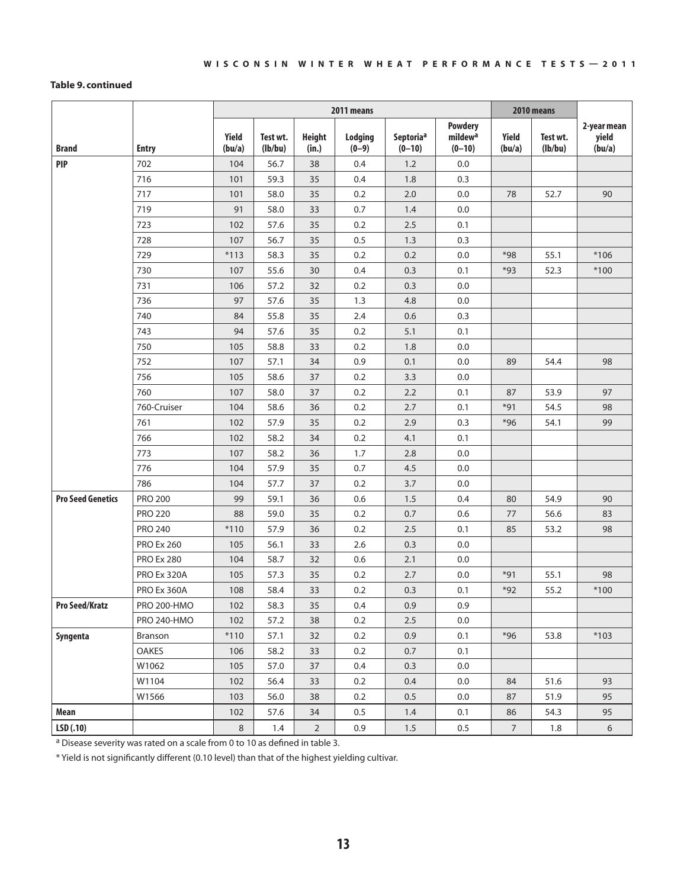#### **Table 9. continued**

|                          |                    | 2011 means      |                     |                        |                    |                       |                                                   |                 | 2010 means          |                                |
|--------------------------|--------------------|-----------------|---------------------|------------------------|--------------------|-----------------------|---------------------------------------------------|-----------------|---------------------|--------------------------------|
| <b>Brand</b>             | <b>Entry</b>       | Yield<br>(bu/a) | Test wt.<br>(lb/bu) | <b>Height</b><br>(in.) | Lodging<br>$(0-9)$ | Septoriaª<br>$(0-10)$ | <b>Powdery</b><br>mildew <sup>a</sup><br>$(0-10)$ | Yield<br>(bu/a) | Test wt.<br>(lb/bu) | 2-year mean<br>yield<br>(bu/a) |
| <b>PIP</b>               | 702                | 104             | 56.7                | 38                     | 0.4                | 1.2                   | 0.0                                               |                 |                     |                                |
|                          | 716                | 101             | 59.3                | 35                     | 0.4                | 1.8                   | 0.3                                               |                 |                     |                                |
|                          | 717                | 101             | 58.0                | 35                     | 0.2                | 2.0                   | 0.0                                               | 78              | 52.7                | 90                             |
|                          | 719                | 91              | 58.0                | 33                     | 0.7                | 1.4                   | $0.0\,$                                           |                 |                     |                                |
|                          | 723                | 102             | 57.6                | 35                     | 0.2                | 2.5                   | 0.1                                               |                 |                     |                                |
|                          | 728                | 107             | 56.7                | 35                     | 0.5                | 1.3                   | 0.3                                               |                 |                     |                                |
|                          | 729                | $*113$          | 58.3                | 35                     | 0.2                | 0.2                   | 0.0                                               | *98             | 55.1                | $*106$                         |
|                          | 730                | 107             | 55.6                | 30                     | 0.4                | 0.3                   | 0.1                                               | $*93$           | 52.3                | $*100$                         |
|                          | 731                | 106             | 57.2                | 32                     | 0.2                | 0.3                   | 0.0                                               |                 |                     |                                |
|                          | 736                | 97              | 57.6                | 35                     | 1.3                | 4.8                   | 0.0                                               |                 |                     |                                |
|                          | 740                | 84              | 55.8                | 35                     | 2.4                | 0.6                   | 0.3                                               |                 |                     |                                |
|                          | 743                | 94              | 57.6                | 35                     | 0.2                | 5.1                   | 0.1                                               |                 |                     |                                |
|                          | 750                | 105             | 58.8                | 33                     | 0.2                | 1.8                   | $0.0\,$                                           |                 |                     |                                |
|                          | 752                | 107             | 57.1                | 34                     | 0.9                | 0.1                   | 0.0                                               | 89              | 54.4                | 98                             |
|                          | 756                | 105             | 58.6                | 37                     | 0.2                | 3.3                   | $0.0\,$                                           |                 |                     |                                |
|                          | 760                | 107             | 58.0                | 37                     | 0.2                | 2.2                   | 0.1                                               | 87              | 53.9                | 97                             |
|                          | 760-Cruiser        | 104             | 58.6                | 36                     | 0.2                | 2.7                   | 0.1                                               | $*91$           | 54.5                | 98                             |
|                          | 761                | 102             | 57.9                | 35                     | 0.2                | 2.9                   | 0.3                                               | $*96$           | 54.1                | 99                             |
|                          | 766                | 102             | 58.2                | 34                     | 0.2                | 4.1                   | 0.1                                               |                 |                     |                                |
|                          | 773                | 107             | 58.2                | 36                     | 1.7                | 2.8                   | 0.0                                               |                 |                     |                                |
|                          | 776                | 104             | 57.9                | 35                     | 0.7                | 4.5                   | 0.0                                               |                 |                     |                                |
|                          | 786                | 104             | 57.7                | 37                     | 0.2                | 3.7                   | 0.0                                               |                 |                     |                                |
| <b>Pro Seed Genetics</b> | <b>PRO 200</b>     | 99              | 59.1                | 36                     | 0.6                | 1.5                   | 0.4                                               | 80              | 54.9                | 90                             |
|                          | <b>PRO 220</b>     | 88              | 59.0                | 35                     | 0.2                | 0.7                   | 0.6                                               | 77              | 56.6                | 83                             |
|                          | <b>PRO 240</b>     | $*110$          | 57.9                | 36                     | 0.2                | 2.5                   | 0.1                                               | 85              | 53.2                | 98                             |
|                          | <b>PRO Ex 260</b>  | 105             | 56.1                | 33                     | 2.6                | 0.3                   | 0.0                                               |                 |                     |                                |
|                          | <b>PRO Ex 280</b>  | 104             | 58.7                | 32                     | 0.6                | 2.1                   | $0.0\,$                                           |                 |                     |                                |
|                          | PRO Ex 320A        | 105             | 57.3                | 35                     | 0.2                | 2.7                   | 0.0                                               | $*91$           | 55.1                | 98                             |
|                          | PRO Ex 360A        | 108             | 58.4                | 33                     | 0.2                | 0.3                   | 0.1                                               | $*92$           | 55.2                | $*100$                         |
| <b>Pro Seed/Kratz</b>    | PRO 200-HMO        | 102             | 58.3                | 35                     | 0.4                | 0.9                   | 0.9                                               |                 |                     |                                |
|                          | <b>PRO 240-HMO</b> | 102             | 57.2                | 38                     | 0.2                | 2.5                   | 0.0                                               |                 |                     |                                |
| Syngenta                 | Branson            | $*110$          | 57.1                | 32                     | 0.2                | 0.9                   | 0.1                                               | $*96$           | 53.8                | $*103$                         |
|                          | OAKES              | 106             | 58.2                | 33                     | 0.2                | 0.7                   | 0.1                                               |                 |                     |                                |
|                          | W1062              | 105             | 57.0                | 37                     | 0.4                | 0.3                   | 0.0                                               |                 |                     |                                |
|                          | W1104              | 102             | 56.4                | 33                     | 0.2                | 0.4                   | 0.0                                               | 84              | 51.6                | 93                             |
|                          | W1566              | 103             | 56.0                | 38                     | 0.2                | $0.5\,$               | 0.0                                               | 87              | 51.9                | 95                             |
| Mean                     |                    | 102             | 57.6                | 34                     | 0.5                | 1.4                   | 0.1                                               | 86              | 54.3                | 95                             |
| LSD(.10)                 |                    | $\,8\,$         | 1.4                 | $\overline{2}$         | 0.9                | 1.5                   | 0.5                                               | $7\overline{ }$ | 1.8                 | 6                              |

 $a$  Disease severity was rated on a scale from 0 to 10 as defined in table 3.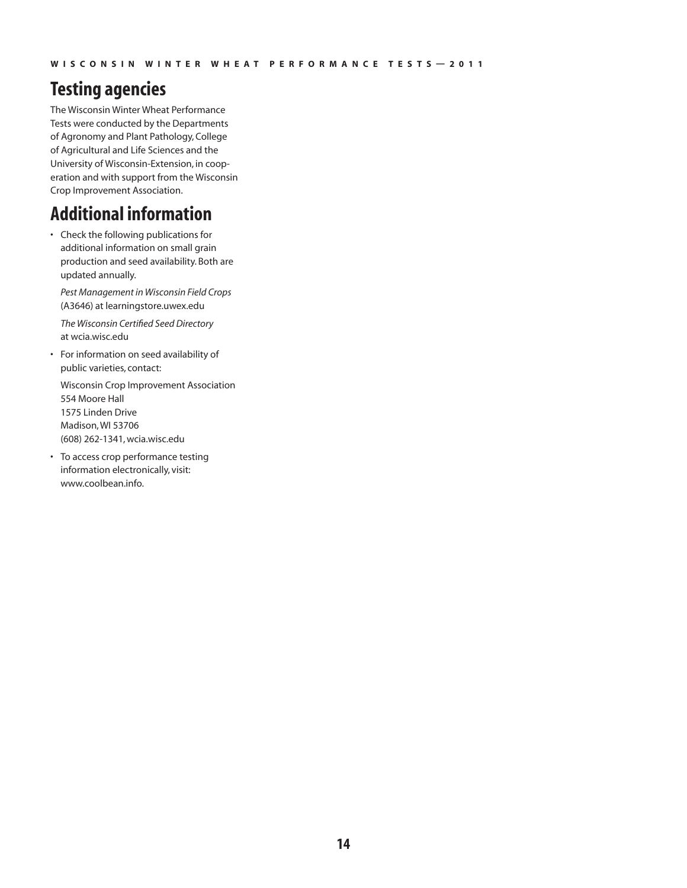# **Testing agencies**

The Wisconsin Winter Wheat Performance Tests were conducted by the Departments of Agronomy and Plant Pathology, College of Agricultural and Life Sciences and the University of Wisconsin-Extension, in cooperation and with support from the Wisconsin Crop Improvement Association.

## **Additional information**

• Check the following publications for additional information on small grain production and seed availability. Both are updated annually.

*Pest Management in Wisconsin Field Crops* (A3646) at learningstore.uwex.edu

*The Wisconsin Certified Seed Directory*  at wcia.wisc.edu

• For information on seed availability of public varieties, contact:

Wisconsin Crop Improvement Association 554 Moore Hall 1575 Linden Drive Madison, WI 53706 (608) 262-1341, wcia.wisc.edu

• To access crop performance testing information electronically, visit: www.coolbean.info.